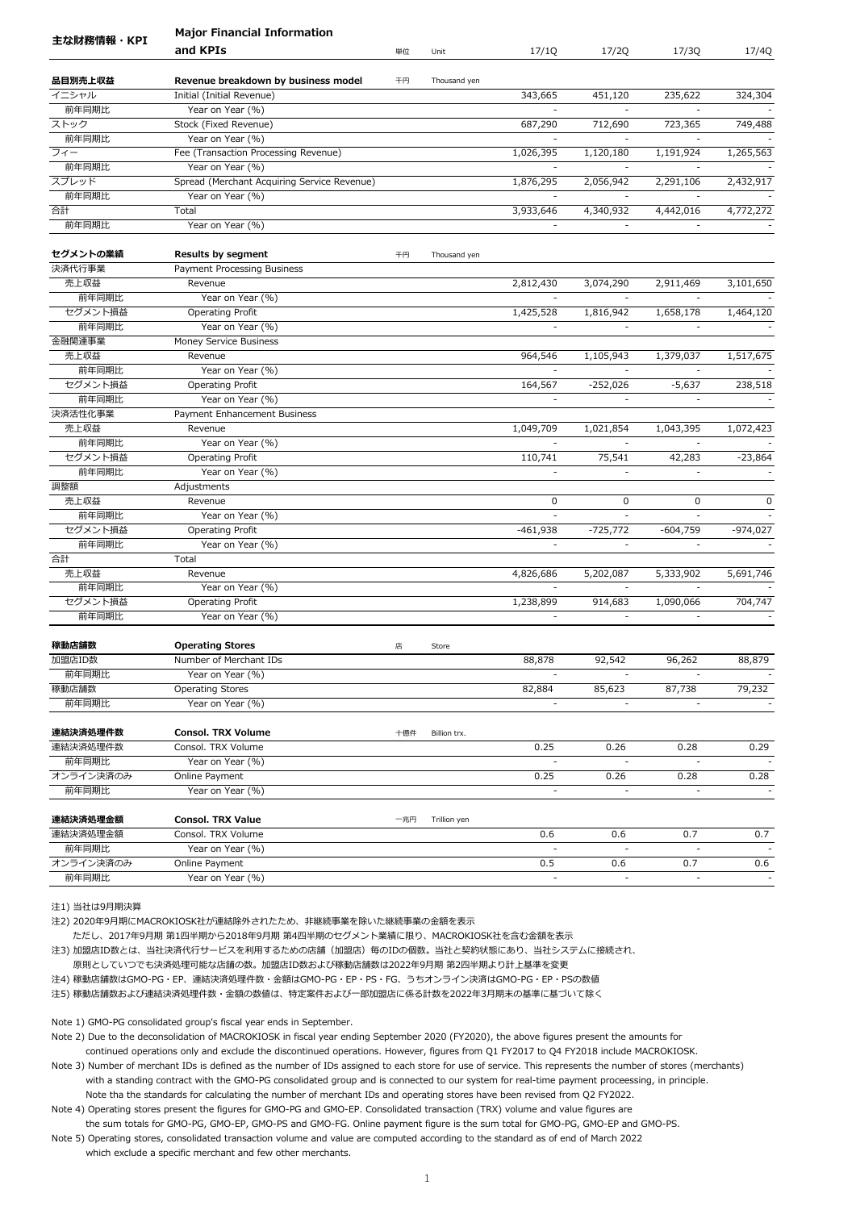|                | <b>Major Financial Information</b>                |     |              |                          |                          |                                    |                                    |
|----------------|---------------------------------------------------|-----|--------------|--------------------------|--------------------------|------------------------------------|------------------------------------|
| 主な財務情報・KPI     | and KPIs                                          | 単位  | Unit         | 17/1Q                    | 17/2Q                    | 17/3Q                              | 17/4Q                              |
| 品目別売上収益        | Revenue breakdown by business model               | 千円  | Thousand yen |                          |                          |                                    |                                    |
| イニシャル          | Initial (Initial Revenue)                         |     |              | 343,665                  | 451,120                  | 235,622                            | 324,304                            |
| 前年同期比          | Year on Year (%)                                  |     |              |                          |                          |                                    |                                    |
| ストック           | Stock (Fixed Revenue)                             |     |              | 687,290                  | 712,690                  | 723,365                            | 749,488                            |
| 前年同期比          | Year on Year (%)                                  |     |              |                          |                          |                                    |                                    |
| フィー            | Fee (Transaction Processing Revenue)              |     |              | 1,026,395                | 1,120,180                | 1,191,924                          | 1,265,563                          |
| 前年同期比          | Year on Year (%)                                  |     |              |                          |                          |                                    |                                    |
| スプレッド          | Spread (Merchant Acquiring Service Revenue)       |     |              | 1,876,295                | 2,056,942                | 2,291,106                          | 2,432,917                          |
| 前年同期比          | Year on Year (%)                                  |     |              |                          |                          |                                    |                                    |
| 合計             | Total                                             |     |              | 3,933,646                | 4,340,932                | 4,442,016                          | 4,772,272                          |
| 前年同期比          | Year on Year (%)                                  |     |              |                          | $\blacksquare$           |                                    |                                    |
| セグメントの業績       | <b>Results by segment</b>                         | 千円  | Thousand yen |                          |                          |                                    |                                    |
| 決済代行事業         | Payment Processing Business                       |     |              |                          |                          |                                    |                                    |
| 売上収益           | Revenue                                           |     |              | 2,812,430                | 3,074,290                | 2,911,469                          | 3,101,650                          |
| 前年同期比          | Year on Year (%)                                  |     |              |                          |                          |                                    |                                    |
| セグメント損益        | Operating Profit                                  |     |              | 1,425,528                | 1,816,942                | 1,658,178                          | 1,464,120                          |
| 前年同期比          | Year on Year (%)                                  |     |              |                          | $\blacksquare$           |                                    |                                    |
| 金融関連事業         | Money Service Business                            |     |              |                          |                          |                                    |                                    |
| 売上収益           | Revenue                                           |     |              | 964,546                  | 1,105,943                | 1,379,037                          | 1,517,675                          |
| 前年同期比          | Year on Year (%)                                  |     |              | $\mathbf{r}$             |                          | $\overline{a}$                     |                                    |
| セグメント損益        | Operating Profit                                  |     |              | 164,567                  | $-252,026$               | $-5,637$                           | 238,518                            |
| 前年同期比          | Year on Year (%)                                  |     |              | $\blacksquare$           | $\blacksquare$           | $\overline{\phantom{a}}$           |                                    |
| 決済活性化事業        | Payment Enhancement Business                      |     |              |                          |                          |                                    |                                    |
| 売上収益           | Revenue                                           |     |              | 1,049,709                | 1,021,854                | 1,043,395                          | 1,072,423                          |
| 前年同期比          | Year on Year (%)                                  |     |              |                          | $\equiv$                 |                                    |                                    |
| セグメント損益        | Operating Profit                                  |     |              | 110,741                  | 75,541                   | 42,283                             | $-23,864$                          |
| 前年同期比          | Year on Year (%)                                  |     |              | $\sim$                   | ÷,                       | $\bar{a}$                          | $\blacksquare$                     |
| 調整額            | Adjustments                                       |     |              |                          |                          |                                    |                                    |
| 売上収益           | Revenue                                           |     |              | 0                        | 0                        | 0                                  | 0                                  |
| 前年同期比          | Year on Year (%)                                  |     |              | $\overline{\phantom{a}}$ | $\omega$                 | $\overline{\phantom{a}}$           |                                    |
| セグメント損益        | Operating Profit                                  |     |              | $-461,938$               | $-725,772$               | $-604,759$                         | $-974,027$                         |
| 前年同期比          | Year on Year (%)                                  |     |              |                          | $\overline{a}$           |                                    |                                    |
| 合計             | Total                                             |     |              |                          |                          |                                    |                                    |
| 売上収益           | Revenue                                           |     |              | 4,826,686                | 5,202,087                | 5,333,902                          | 5,691,746                          |
| 前年同期比          | Year on Year (%)                                  |     |              |                          | $\overline{\phantom{a}}$ |                                    |                                    |
| セグメント損益        | Operating Profit                                  |     |              | 1,238,899                | 914,683                  | 1,090,066                          | 704,747                            |
| 前年同期比          | Year on Year (%)                                  |     |              |                          |                          |                                    |                                    |
|                |                                                   |     |              |                          |                          |                                    |                                    |
| 稼動店舗数          | <b>Operating Stores</b><br>Number of Merchant IDs | 店   | Store        |                          |                          |                                    |                                    |
| 加盟店ID数         |                                                   |     |              | 88,878                   | 92,542                   | 96,262                             | 88,879                             |
| 前年同期比<br>稼動店舗数 | Year on Year (%)<br><b>Operating Stores</b>       |     |              | 82,884                   | 85,623                   | $\overline{\phantom{a}}$<br>87,738 | $\overline{\phantom{a}}$<br>79,232 |
| 前年同期比          | Year on Year (%)                                  |     |              |                          | $\overline{\phantom{a}}$ |                                    |                                    |
|                |                                                   |     |              |                          |                          |                                    |                                    |
| 連結決済処理件数       | <b>Consol. TRX Volume</b>                         | 十億件 | Billion trx. |                          |                          |                                    |                                    |
| 連結決済処理件数       | Consol. TRX Volume                                |     |              | 0.25                     | 0.26                     | 0.28                               | 0.29                               |
| 前年同期比          | Year on Year (%)                                  |     |              |                          |                          |                                    |                                    |
| オンライン決済のみ      | Online Payment                                    |     |              | 0.25                     | 0.26                     | 0.28                               | 0.28                               |
| 前年同期比          | Year on Year (%)                                  |     |              | $\overline{\phantom{a}}$ | $\overline{\phantom{a}}$ | $\overline{\phantom{a}}$           |                                    |
| 連結決済処理金額       | <b>Consol. TRX Value</b>                          | 一兆円 | Trillion yen |                          |                          |                                    |                                    |
| 連結決済処理金額       | Consol. TRX Volume                                |     |              | 0.6                      | 0.6                      | 0.7                                | 0.7                                |
| 前年同期比          | Year on Year (%)                                  |     |              |                          | $\overline{\phantom{a}}$ |                                    |                                    |
| オンライン決済のみ      | Online Payment                                    |     |              | 0.5                      | 0.6                      | 0.7                                | 0.6                                |
| 前年同期比          | Year on Year (%)                                  |     |              | $\overline{\phantom{a}}$ | $\overline{\phantom{a}}$ | $\blacksquare$                     | $\overline{\phantom{a}}$           |

注2) 2020年9月期にMACROKIOSK社が連結除外されたため、非継続事業を除いた継続事業の金額を表示

ただし、2017年9月期 第1四半期から2018年9月期 第4四半期のセグメント業績に限り、MACROKIOSK社を含む金額を表示

注3) 加盟店ID数とは、当社決済代行サービスを利用するための店舗(加盟店)毎のIDの個数。当社と契約状態にあり、当社システムに接続され、

原則としていつでも決済処理可能な店舗の数。加盟店ID数および稼動店舗数は2022年9月期 第2四半期より計上基準を変更

注4) 稼動店舗数はGMO-PG・EP、連結決済処理件数・金額はGMO-PG・EP・PS・FG、うちオンライン決済はGMO-PG・EP・PSの数値

注5) 稼動店舗数および連結決済処理件数・金額の数値は、特定案件および一部加盟店に係る計数を2022年3月期末の基準に基づいて除く

Note 1) GMO-PG consolidated group's fiscal year ends in September.

Note 2) Due to the deconsolidation of MACROKIOSK in fiscal year ending September 2020 (FY2020), the above figures present the amounts for continued operations only and exclude the discontinued operations. However, figures from Q1 FY2017 to Q4 FY2018 include MACROKIOSK.

Note 3) Number of merchant IDs is defined as the number of IDs assigned to each store for use of service. This represents the number of stores (merchants) with a standing contract with the GMO-PG consolidated group and is connected to our system for real-time payment proceessing, in principle. Note tha the standards for calculating the number of merchant IDs and operating stores have been revised from Q2 FY2022.

Note 4) Operating stores present the figures for GMO-PG and GMO-EP. Consolidated transaction (TRX) volume and value figures are the sum totals for GMO-PG, GMO-EP, GMO-PS and GMO-FG. Online payment figure is the sum total for GMO-PG, GMO-EP and GMO-PS.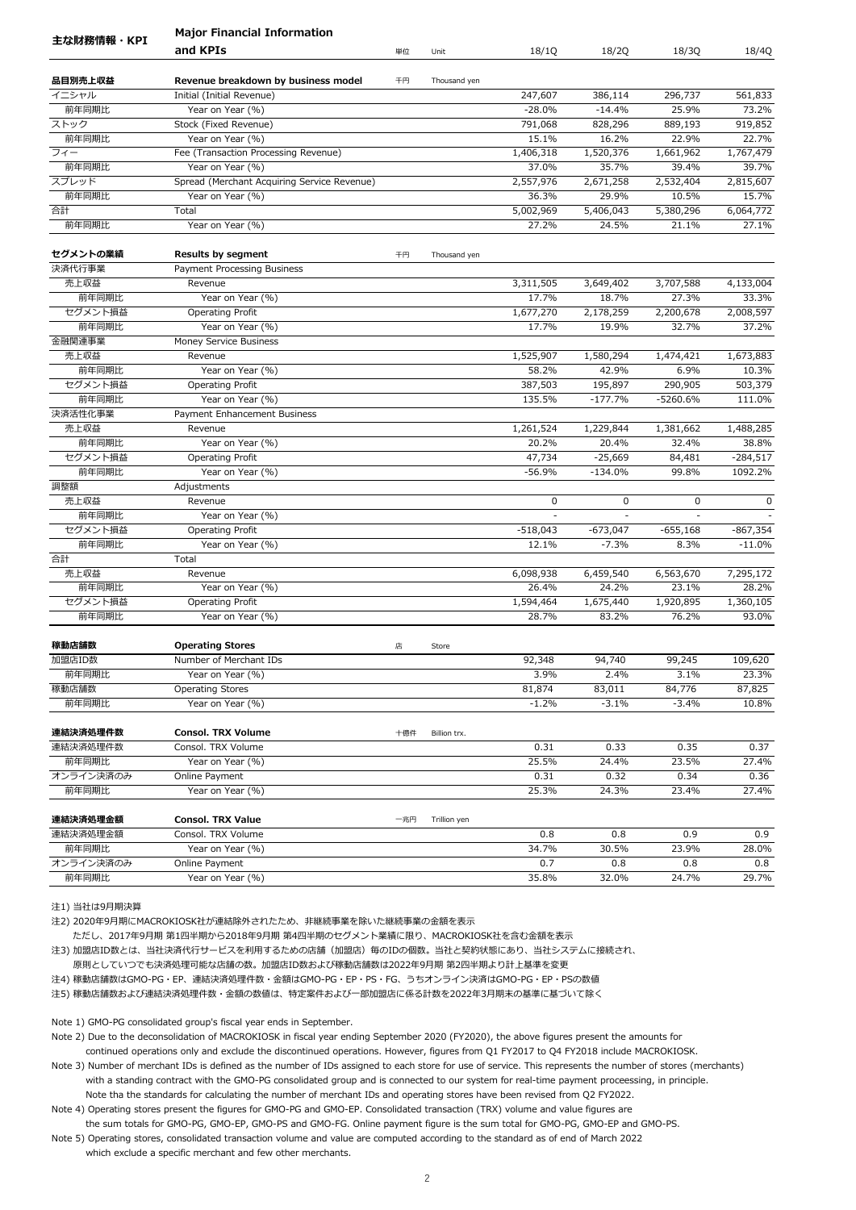|                      | <b>Major Financial Information</b>                              |     |              |                    |                    |                    |                    |
|----------------------|-----------------------------------------------------------------|-----|--------------|--------------------|--------------------|--------------------|--------------------|
| 主な財務情報・KPI           | and KPIs                                                        | 単位  | Unit         | 18/1Q              | 18/2Q              | 18/3Q              | 18/4Q              |
|                      |                                                                 |     |              |                    |                    |                    |                    |
| 品目別売上収益              | Revenue breakdown by business model                             | 千円  | Thousand yen |                    |                    |                    |                    |
| イニシャル                | Initial (Initial Revenue)<br>Year on Year (%)                   |     |              | 247,607            | 386,114            | 296,737            | 561,833            |
| 前年同期比                |                                                                 |     |              | $-28.0%$           | $-14.4%$           | 25.9%              | 73.2%              |
| ストック<br>前年同期比        | Stock (Fixed Revenue)<br>Year on Year (%)                       |     |              | 791,068<br>15.1%   | 828,296<br>16.2%   | 889,193<br>22.9%   | 919,852<br>22.7%   |
| フィー                  |                                                                 |     |              |                    |                    |                    |                    |
| 前年同期比                | Fee (Transaction Processing Revenue)                            |     |              | 1,406,318          | 1,520,376<br>35.7% | 1,661,962          | 1,767,479          |
| スプレッド                | Year on Year (%)<br>Spread (Merchant Acquiring Service Revenue) |     |              | 37.0%<br>2,557,976 | 2,671,258          | 39.4%<br>2,532,404 | 39.7%<br>2,815,607 |
| 前年同期比                |                                                                 |     |              |                    |                    |                    | 15.7%              |
|                      | Year on Year (%)                                                |     |              | 36.3%              | 29.9%              | 10.5%              |                    |
| 合計                   | Total                                                           |     |              | 5,002,969          | 5,406,043          | 5,380,296          | 6,064,772<br>27.1% |
| 前年同期比                | Year on Year (%)                                                |     |              | 27.2%              | 24.5%              | 21.1%              |                    |
| セグメントの業績             | <b>Results by segment</b>                                       | 千円  | Thousand yen |                    |                    |                    |                    |
| 決済代行事業               | Payment Processing Business                                     |     |              |                    |                    |                    |                    |
| 売上収益                 | Revenue                                                         |     |              | 3,311,505          | 3,649,402          | 3,707,588          | 4,133,004          |
| 前年同期比                | Year on Year (%)                                                |     |              | 17.7%              | 18.7%              | 27.3%              | 33.3%              |
| セグメント損益              | Operating Profit                                                |     |              | 1,677,270          | 2,178,259          | 2,200,678          | 2,008,597          |
| 前年同期比                | Year on Year (%)                                                |     |              | 17.7%              | 19.9%              | 32.7%              | 37.2%              |
| 金融関連事業               | Money Service Business                                          |     |              |                    |                    |                    |                    |
| 売上収益                 | Revenue                                                         |     |              | 1,525,907          | 1,580,294          | 1,474,421          | 1,673,883          |
| 前年同期比                | Year on Year (%)                                                |     |              | 58.2%              | 42.9%              | 6.9%               | 10.3%              |
| セグメント損益              | Operating Profit                                                |     |              | 387,503            | 195,897            | 290,905            | 503,379            |
| 前年同期比                | Year on Year (%)                                                |     |              | 135.5%             | $-177.7%$          | $-5260.6%$         | 111.0%             |
| 決済活性化事業              | Payment Enhancement Business                                    |     |              |                    |                    |                    |                    |
| 売上収益                 | Revenue                                                         |     |              | 1,261,524          | 1,229,844          | 1,381,662          | 1,488,285          |
| 前年同期比                | Year on Year (%)                                                |     |              | 20.2%              | 20.4%              | 32.4%              | 38.8%              |
| セグメント損益              | Operating Profit                                                |     |              | 47,734             | $-25,669$          | 84,481             | $-284,517$         |
| 前年同期比                | Year on Year (%)                                                |     |              | $-56.9%$           | $-134.0%$          | 99.8%              | 1092.2%            |
| 調整額                  | Adjustments                                                     |     |              |                    |                    |                    |                    |
| 売上収益                 | Revenue                                                         |     |              | 0                  | 0                  | 0                  | 0                  |
| 前年同期比                | Year on Year (%)                                                |     |              |                    |                    |                    |                    |
| セグメント損益              | Operating Profit                                                |     |              | $-518,043$         | $-673,047$         | $-655,168$         | $-867,354$         |
| 前年同期比                | Year on Year (%)                                                |     |              | 12.1%              | $-7.3%$            | 8.3%               | $-11.0%$           |
| 合計                   | Total                                                           |     |              |                    |                    |                    |                    |
| 売上収益                 | Revenue                                                         |     |              | 6,098,938          | 6,459,540          | 6,563,670          | 7,295,172          |
| 前年同期比                | Year on Year (%)                                                |     |              | 26.4%              | 24.2%              | 23.1%              | 28.2%              |
| セグメント損益              | Operating Profit                                                |     |              | 1,594,464          | 1,675,440          | 1,920,895          | 1,360,105          |
| 前年同期比                | Year on Year (%)                                                |     |              | 28.7%              | 83.2%              | 76.2%              | 93.0%              |
| 稼動店舗数                | <b>Operating Stores</b>                                         | 店   | Store        |                    |                    |                    |                    |
| 加盟店ID数               | Number of Merchant IDs                                          |     |              | 92,348             | 94,740             | 99,245             | 109,620            |
| 前年同期比                | Year on Year (%)                                                |     |              | 3.9%               | 2.4%               | 3.1%               | 23.3%              |
| 稼動店舗数                | <b>Operating Stores</b>                                         |     |              | 81,874             | 83,011             | 84,776             | 87,825             |
| 前年同期比                | Year on Year (%)                                                |     |              | $-1.2%$            | $-3.1%$            | $-3.4%$            | 10.8%              |
|                      |                                                                 |     |              |                    |                    |                    |                    |
| 連結決済処理件数<br>連結決済処理件数 | <b>Consol. TRX Volume</b><br>Consol. TRX Volume                 | 十億件 | Billion trx. |                    |                    |                    |                    |
|                      |                                                                 |     |              | 0.31               | 0.33               | 0.35               | 0.37               |
| 前年同期比                | Year on Year (%)                                                |     |              | 25.5%              | 24.4%              | 23.5%              | 27.4%              |
| オンライン決済のみ            | Online Payment                                                  |     |              | 0.31               | 0.32               | 0.34               | 0.36               |
| 前年同期比                | Year on Year (%)                                                |     |              | 25.3%              | 24.3%              | 23.4%              | 27.4%              |
| 連結決済処理金額             | <b>Consol. TRX Value</b>                                        | 一兆円 | Trillion yen |                    |                    |                    |                    |
| 連結決済処理金額             | Consol. TRX Volume                                              |     |              | 0.8                | 0.8                | 0.9                | 0.9                |
| 前年同期比                | Year on Year (%)                                                |     |              | 34.7%              | 30.5%              | 23.9%              | 28.0%              |
| オンライン決済のみ            | Online Payment                                                  |     |              | 0.7                | 0.8                | 0.8                | 0.8                |
| 前年同期比                | Year on Year (%)                                                |     |              | 35.8%              | 32.0%              | 24.7%              | 29.7%              |
|                      |                                                                 |     |              |                    |                    |                    |                    |

注2) 2020年9月期にMACROKIOSK社が連結除外されたため、非継続事業を除いた継続事業の金額を表示

ただし、2017年9月期 第1四半期から2018年9月期 第4四半期のセグメント業績に限り、MACROKIOSK社を含む金額を表示

注3) 加盟店ID数とは、当社決済代行サービスを利用するための店舗(加盟店)毎のIDの個数。当社と契約状態にあり、当社システムに接続され、

原則としていつでも決済処理可能な店舗の数。加盟店ID数および稼動店舗数は2022年9月期 第2四半期より計上基準を変更

注4) 稼動店舗数はGMO-PG・EP、連結決済処理件数・金額はGMO-PG・EP・PS・FG、うちオンライン決済はGMO-PG・EP・PSの数値

注5) 稼動店舗数および連結決済処理件数・金額の数値は、特定案件および一部加盟店に係る計数を2022年3月期末の基準に基づいて除く

Note 1) GMO-PG consolidated group's fiscal year ends in September.

Note 2) Due to the deconsolidation of MACROKIOSK in fiscal year ending September 2020 (FY2020), the above figures present the amounts for continued operations only and exclude the discontinued operations. However, figures from Q1 FY2017 to Q4 FY2018 include MACROKIOSK.

Note 3) Number of merchant IDs is defined as the number of IDs assigned to each store for use of service. This represents the number of stores (merchants) with a standing contract with the GMO-PG consolidated group and is connected to our system for real-time payment proceessing, in principle. Note tha the standards for calculating the number of merchant IDs and operating stores have been revised from Q2 FY2022.

Note 4) Operating stores present the figures for GMO-PG and GMO-EP. Consolidated transaction (TRX) volume and value figures are the sum totals for GMO-PG, GMO-EP, GMO-PS and GMO-FG. Online payment figure is the sum total for GMO-PG, GMO-EP and GMO-PS.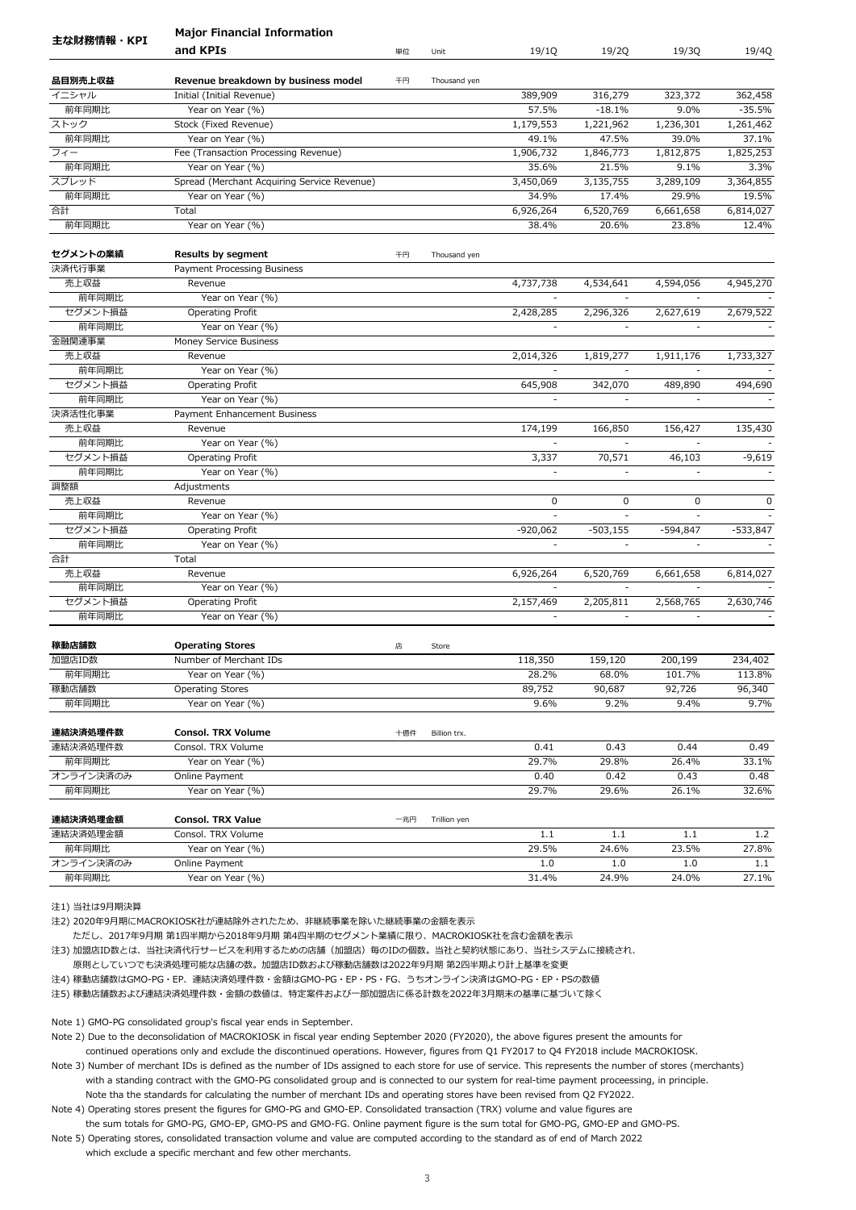|                  | <b>Major Financial Information</b>               |     |              |                          |                          |                          |             |
|------------------|--------------------------------------------------|-----|--------------|--------------------------|--------------------------|--------------------------|-------------|
| 主な財務情報・KPI       | and KPIs                                         | 単位  | Unit         | 19/1Q                    | 19/2Q                    | 19/3Q                    | 19/4Q       |
| 品目別売上収益          | Revenue breakdown by business model              | 千円  | Thousand yen |                          |                          |                          |             |
| イニシャル            | Initial (Initial Revenue)                        |     |              | 389,909                  | 316,279                  | 323,372                  | 362,458     |
| 前年同期比            | Year on Year (%)                                 |     |              | 57.5%                    | $-18.1%$                 | 9.0%                     | $-35.5%$    |
| ストック             | Stock (Fixed Revenue)                            |     |              | 1,179,553                | 1,221,962                | 1,236,301                | 1,261,462   |
| 前年同期比            | Year on Year (%)                                 |     |              | 49.1%                    | 47.5%                    | 39.0%                    | 37.1%       |
| フィー              | Fee (Transaction Processing Revenue)             |     |              | 1,906,732                | 1,846,773                | 1,812,875                | 1,825,253   |
| 前年同期比            | Year on Year (%)                                 |     |              | 35.6%                    | 21.5%                    | 9.1%                     | 3.3%        |
| スプレッド            | Spread (Merchant Acquiring Service Revenue)      |     |              | 3,450,069                | 3,135,755                | 3,289,109                | 3,364,855   |
| 前年同期比            | Year on Year (%)                                 |     |              | 34.9%                    | 17.4%                    | 29.9%                    | 19.5%       |
| 合計               | Total                                            |     |              | 6,926,264                | 6,520,769                | 6,661,658                | 6,814,027   |
| 前年同期比            | Year on Year (%)                                 |     |              | 38.4%                    | 20.6%                    | 23.8%                    | 12.4%       |
| セグメントの業績         | <b>Results by segment</b>                        | 千円  | Thousand yen |                          |                          |                          |             |
| 決済代行事業           | Payment Processing Business                      |     |              |                          |                          |                          |             |
| 売上収益             | Revenue                                          |     |              | 4,737,738                | 4,534,641                | 4,594,056                | 4,945,270   |
| 前年同期比            | Year on Year (%)                                 |     |              |                          |                          |                          |             |
| セグメント損益          | Operating Profit                                 |     |              | 2,428,285                | 2,296,326                | 2,627,619                | 2,679,522   |
| 前年同期比            | Year on Year (%)                                 |     |              |                          |                          |                          |             |
| 金融関連事業           | Money Service Business                           |     |              |                          |                          |                          |             |
| 売上収益             | Revenue                                          |     |              | 2,014,326                | 1,819,277                | 1,911,176                | 1,733,327   |
| 前年同期比            | Year on Year (%)                                 |     |              |                          |                          | ÷,                       |             |
|                  |                                                  |     |              |                          |                          |                          |             |
| セグメント損益<br>前年同期比 | Operating Profit                                 |     |              | 645,908<br>÷,            | 342,070                  | 489,890                  | 494,690     |
| 決済活性化事業          | Year on Year (%)<br>Payment Enhancement Business |     |              |                          |                          |                          |             |
|                  |                                                  |     |              |                          |                          |                          |             |
| 売上収益             | Revenue                                          |     |              | 174,199                  | 166,850                  | 156,427                  | 135,430     |
| 前年同期比            | Year on Year (%)                                 |     |              |                          |                          |                          |             |
| セグメント損益          | Operating Profit                                 |     |              | 3,337                    | 70,571                   | 46,103                   | $-9,619$    |
| 前年同期比            | Year on Year (%)                                 |     |              | $\overline{\phantom{a}}$ | ÷,                       | $\overline{\phantom{a}}$ |             |
| 調整額              | Adjustments                                      |     |              |                          |                          |                          |             |
| 売上収益             | Revenue                                          |     |              | $\mathbf 0$              | 0                        | 0                        | $\mathbf 0$ |
| 前年同期比            | Year on Year (%)                                 |     |              |                          |                          |                          |             |
| セグメント損益          | Operating Profit                                 |     |              | $-920,062$               | $-503,155$               | $-594,847$               | $-533,847$  |
| 前年同期比            | Year on Year (%)                                 |     |              | $\overline{\phantom{a}}$ | $\overline{\phantom{a}}$ | $\overline{\phantom{a}}$ |             |
| 合計               | Total                                            |     |              |                          |                          |                          |             |
| 売上収益             | Revenue                                          |     |              | 6,926,264                | 6,520,769                | 6,661,658                | 6,814,027   |
| 前年同期比            | Year on Year (%)                                 |     |              | $\blacksquare$           | $\overline{\phantom{a}}$ | $\overline{\phantom{a}}$ |             |
| セグメント損益          | Operating Profit                                 |     |              | 2,157,469                | 2,205,811                | 2,568,765                | 2,630,746   |
| 前年同期比            | Year on Year (%)                                 |     |              |                          |                          |                          |             |
| 稼動店舗数            | <b>Operating Stores</b>                          | 店   | Store        |                          |                          |                          |             |
| 加盟店ID数           | Number of Merchant IDs                           |     |              | 118,350                  | 159,120                  | 200,199                  | 234,402     |
| 前年同期比            | Year on Year (%)                                 |     |              | 28.2%                    | 68.0%                    | 101.7%                   | 113.8%      |
| 稼動店舗数            | <b>Operating Stores</b>                          |     |              | 89,752                   | 90,687                   | 92,726                   | 96,340      |
| 前年同期比            | Year on Year (%)                                 |     |              | 9.6%                     | 9.2%                     | 9.4%                     | 9.7%        |
| 連結決済処理件数         | <b>Consol. TRX Volume</b>                        | 十億件 | Billion trx. |                          |                          |                          |             |
| 連結決済処理件数         | Consol. TRX Volume                               |     |              | 0.41                     | 0.43                     | 0.44                     | 0.49        |
| 前年同期比            | Year on Year (%)                                 |     |              | 29.7%                    | 29.8%                    | 26.4%                    | 33.1%       |
| オンライン決済のみ        | Online Payment                                   |     |              | 0.40                     | 0.42                     | 0.43                     | 0.48        |
| 前年同期比            | Year on Year (%)                                 |     |              | 29.7%                    | 29.6%                    | 26.1%                    | 32.6%       |
| 連結決済処理金額         | <b>Consol. TRX Value</b>                         | 一兆円 | Trillion yen |                          |                          |                          |             |
| 連結決済処理金額         | Consol. TRX Volume                               |     |              | 1.1                      | 1.1                      | 1.1                      | 1.2         |
| 前年同期比            | Year on Year (%)                                 |     |              | 29.5%                    | 24.6%                    | 23.5%                    | 27.8%       |
| オンライン決済のみ        | Online Payment                                   |     |              | 1.0                      | 1.0                      | 1.0                      | 1.1         |
| 前年同期比            | Year on Year (%)                                 |     |              | 31.4%                    | 24.9%                    | 24.0%                    | 27.1%       |
|                  |                                                  |     |              |                          |                          |                          |             |

注2) 2020年9月期にMACROKIOSK社が連結除外されたため、非継続事業を除いた継続事業の金額を表示

ただし、2017年9月期 第1四半期から2018年9月期 第4四半期のセグメント業績に限り、MACROKIOSK社を含む金額を表示

注3) 加盟店ID数とは、当社決済代行サービスを利用するための店舗(加盟店)毎のIDの個数。当社と契約状態にあり、当社システムに接続され、

原則としていつでも決済処理可能な店舗の数。加盟店ID数および稼動店舗数は2022年9月期 第2四半期より計上基準を変更

注4) 稼動店舗数はGMO-PG・EP、連結決済処理件数・金額はGMO-PG・EP・PS・FG、うちオンライン決済はGMO-PG・EP・PSの数値

注5) 稼動店舗数および連結決済処理件数・金額の数値は、特定案件および一部加盟店に係る計数を2022年3月期末の基準に基づいて除く

Note 1) GMO-PG consolidated group's fiscal year ends in September.

Note 2) Due to the deconsolidation of MACROKIOSK in fiscal year ending September 2020 (FY2020), the above figures present the amounts for continued operations only and exclude the discontinued operations. However, figures from Q1 FY2017 to Q4 FY2018 include MACROKIOSK.

Note 3) Number of merchant IDs is defined as the number of IDs assigned to each store for use of service. This represents the number of stores (merchants) with a standing contract with the GMO-PG consolidated group and is connected to our system for real-time payment proceessing, in principle. Note tha the standards for calculating the number of merchant IDs and operating stores have been revised from Q2 FY2022.

Note 4) Operating stores present the figures for GMO-PG and GMO-EP. Consolidated transaction (TRX) volume and value figures are the sum totals for GMO-PG, GMO-EP, GMO-PS and GMO-FG. Online payment figure is the sum total for GMO-PG, GMO-EP and GMO-PS.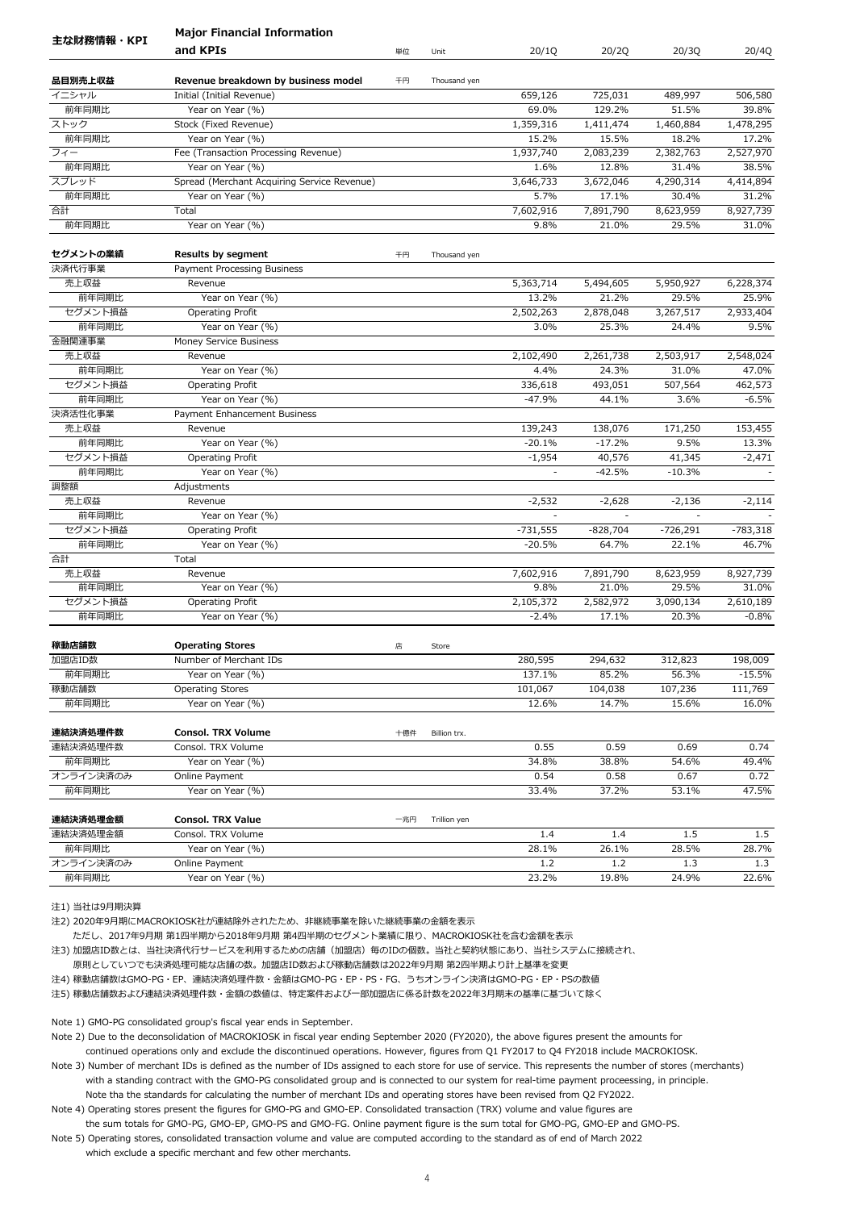|            | <b>Major Financial Information</b>          |     |              |            |            |            |            |
|------------|---------------------------------------------|-----|--------------|------------|------------|------------|------------|
| 主な財務情報・KPI | and KPIs                                    | 単位  | Unit         | 20/1Q      | 20/2Q      | 20/3Q      | 20/4Q      |
| 品目別売上収益    | Revenue breakdown by business model         | 千円  | Thousand yen |            |            |            |            |
| イニシャル      | Initial (Initial Revenue)                   |     |              | 659,126    | 725,031    | 489,997    | 506,580    |
| 前年同期比      | Year on Year (%)                            |     |              | 69.0%      | 129.2%     | 51.5%      | 39.8%      |
| ストック       | Stock (Fixed Revenue)                       |     |              | 1,359,316  | 1,411,474  | 1,460,884  | 1,478,295  |
| 前年同期比      | Year on Year (%)                            |     |              | 15.2%      | 15.5%      | 18.2%      | 17.2%      |
| フィー        | Fee (Transaction Processing Revenue)        |     |              | 1,937,740  | 2,083,239  | 2,382,763  | 2,527,970  |
| 前年同期比      | Year on Year (%)                            |     |              | 1.6%       | 12.8%      | 31.4%      | 38.5%      |
| スプレッド      | Spread (Merchant Acquiring Service Revenue) |     |              | 3,646,733  | 3,672,046  | 4,290,314  | 4,414,894  |
| 前年同期比      | Year on Year (%)                            |     |              | 5.7%       | 17.1%      | 30.4%      | 31.2%      |
| 合計         | Total                                       |     |              | 7,602,916  | 7,891,790  | 8,623,959  | 8,927,739  |
| 前年同期比      | Year on Year (%)                            |     |              | 9.8%       | 21.0%      | 29.5%      | 31.0%      |
| セグメントの業績   | <b>Results by segment</b>                   | 千円  | Thousand yen |            |            |            |            |
| 決済代行事業     | Payment Processing Business                 |     |              |            |            |            |            |
| 売上収益       | Revenue                                     |     |              | 5,363,714  | 5,494,605  | 5,950,927  | 6,228,374  |
| 前年同期比      | Year on Year (%)                            |     |              | 13.2%      | 21.2%      | 29.5%      | 25.9%      |
| セグメント損益    | Operating Profit                            |     |              | 2,502,263  | 2,878,048  | 3,267,517  | 2,933,404  |
| 前年同期比      | Year on Year (%)                            |     |              | 3.0%       | 25.3%      | 24.4%      | 9.5%       |
| 金融関連事業     | Money Service Business                      |     |              |            |            |            |            |
| 売上収益       | Revenue                                     |     |              | 2,102,490  | 2,261,738  | 2,503,917  | 2,548,024  |
| 前年同期比      | Year on Year (%)                            |     |              | 4.4%       | 24.3%      | 31.0%      | 47.0%      |
| セグメント損益    | Operating Profit                            |     |              | 336,618    | 493,051    | 507,564    | 462,573    |
| 前年同期比      | Year on Year (%)                            |     |              | $-47.9%$   | 44.1%      | 3.6%       | $-6.5%$    |
| 決済活性化事業    | Payment Enhancement Business                |     |              |            |            |            |            |
| 売上収益       | Revenue                                     |     |              | 139,243    | 138,076    | 171,250    | 153,455    |
| 前年同期比      | Year on Year (%)                            |     |              | $-20.1%$   | $-17.2%$   | 9.5%       | 13.3%      |
| セグメント損益    | Operating Profit                            |     |              | $-1,954$   | 40,576     | 41,345     | $-2,471$   |
| 前年同期比      | Year on Year (%)                            |     |              |            | $-42.5%$   | $-10.3%$   |            |
| 調整額        | Adjustments                                 |     |              |            |            |            |            |
| 売上収益       | Revenue                                     |     |              | $-2,532$   | $-2,628$   | $-2,136$   | $-2,114$   |
| 前年同期比      | Year on Year (%)                            |     |              |            |            |            |            |
| セグメント損益    | Operating Profit                            |     |              | $-731,555$ | $-828,704$ | $-726,291$ | $-783,318$ |
| 前年同期比      | Year on Year (%)                            |     |              | $-20.5%$   | 64.7%      | 22.1%      | 46.7%      |
| 合計         | Total                                       |     |              |            |            |            |            |
| 売上収益       | Revenue                                     |     |              | 7,602,916  | 7,891,790  | 8,623,959  | 8,927,739  |
| 前年同期比      | Year on Year (%)                            |     |              | 9.8%       | 21.0%      | 29.5%      | 31.0%      |
| セグメント損益    | Operating Profit                            |     |              | 2,105,372  | 2,582,972  | 3,090,134  | 2,610,189  |
| 前年同期比      | Year on Year (%)                            |     |              | $-2.4%$    | 17.1%      | 20.3%      | $-0.8%$    |
| 稼動店舗数      | <b>Operating Stores</b>                     | 店   | Store        |            |            |            |            |
| 加盟店ID数     | Number of Merchant IDs                      |     |              | 280,595    | 294,632    | 312,823    | 198,009    |
| 前年同期比      | Year on Year (%)                            |     |              | 137.1%     | 85.2%      | 56.3%      | $-15.5%$   |
| 稼動店舗数      | <b>Operating Stores</b>                     |     |              | 101,067    | 104,038    | 107,236    | 111,769    |
| 前年同期比      | Year on Year (%)                            |     |              | 12.6%      | 14.7%      | 15.6%      | 16.0%      |
| 連結決済処理件数   | Consol. TRX Volume                          | 十億件 | Billion trx. |            |            |            |            |
| 連結決済処理件数   | Consol. TRX Volume                          |     |              | 0.55       | 0.59       | 0.69       | 0.74       |
| 前年同期比      | Year on Year (%)                            |     |              | 34.8%      | 38.8%      | 54.6%      | 49.4%      |
| オンライン決済のみ  | Online Payment                              |     |              | 0.54       | 0.58       | 0.67       | 0.72       |
| 前年同期比      | Year on Year (%)                            |     |              | 33.4%      | 37.2%      | 53.1%      | 47.5%      |
| 連結決済処理金額   | <b>Consol. TRX Value</b>                    | 一兆円 | Trillion yen |            |            |            |            |
| 連結決済処理金額   | Consol. TRX Volume                          |     |              | 1.4        | 1.4        | 1.5        | 1.5        |
| 前年同期比      | Year on Year (%)                            |     |              | 28.1%      | 26.1%      | 28.5%      | 28.7%      |
| オンライン決済のみ  | Online Payment                              |     |              | 1.2        | 1.2        | 1.3        | 1.3        |
| 前年同期比      | Year on Year (%)                            |     |              | 23.2%      | 19.8%      | 24.9%      | 22.6%      |
|            |                                             |     |              |            |            |            |            |

注2) 2020年9月期にMACROKIOSK社が連結除外されたため、非継続事業を除いた継続事業の金額を表示

ただし、2017年9月期 第1四半期から2018年9月期 第4四半期のセグメント業績に限り、MACROKIOSK社を含む金額を表示

注3) 加盟店ID数とは、当社決済代行サービスを利用するための店舗(加盟店)毎のIDの個数。当社と契約状態にあり、当社システムに接続され、

原則としていつでも決済処理可能な店舗の数。加盟店ID数および稼動店舗数は2022年9月期 第2四半期より計上基準を変更

注4) 稼動店舗数はGMO-PG・EP、連結決済処理件数・金額はGMO-PG・EP・PS・FG、うちオンライン決済はGMO-PG・EP・PSの数値

注5) 稼動店舗数および連結決済処理件数・金額の数値は、特定案件および一部加盟店に係る計数を2022年3月期末の基準に基づいて除く

Note 1) GMO-PG consolidated group's fiscal year ends in September.

Note 2) Due to the deconsolidation of MACROKIOSK in fiscal year ending September 2020 (FY2020), the above figures present the amounts for continued operations only and exclude the discontinued operations. However, figures from Q1 FY2017 to Q4 FY2018 include MACROKIOSK.

Note 3) Number of merchant IDs is defined as the number of IDs assigned to each store for use of service. This represents the number of stores (merchants) with a standing contract with the GMO-PG consolidated group and is connected to our system for real-time payment proceessing, in principle. Note tha the standards for calculating the number of merchant IDs and operating stores have been revised from Q2 FY2022.

Note 4) Operating stores present the figures for GMO-PG and GMO-EP. Consolidated transaction (TRX) volume and value figures are the sum totals for GMO-PG, GMO-EP, GMO-PS and GMO-FG. Online payment figure is the sum total for GMO-PG, GMO-EP and GMO-PS.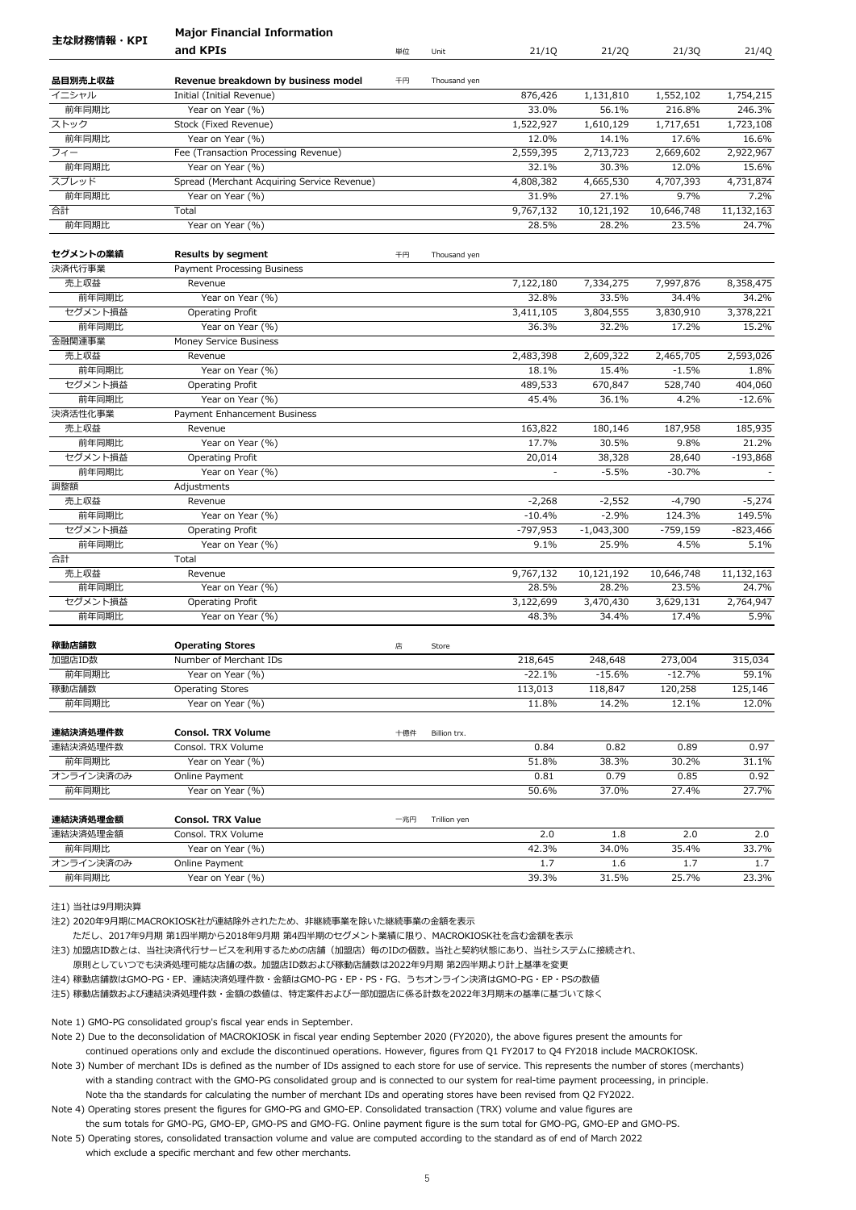|                      | <b>Major Financial Information</b>              |     |              |                    |                    |                    |                    |
|----------------------|-------------------------------------------------|-----|--------------|--------------------|--------------------|--------------------|--------------------|
| 主な財務情報・KPI           | and KPIs                                        | 単位  | Unit         | 21/1Q              | 21/2Q              | 21/3Q              | 21/4Q              |
|                      |                                                 |     |              |                    |                    |                    |                    |
| 品目別売上収益              | Revenue breakdown by business model             | 千円  | Thousand yen |                    |                    |                    |                    |
| イニシャル                | Initial (Initial Revenue)                       |     |              | 876,426            | 1,131,810          | 1,552,102          | 1,754,215          |
| 前年同期比                | Year on Year (%)                                |     |              | 33.0%              | 56.1%              | 216.8%             | 246.3%             |
| ストック<br>前年同期比        | Stock (Fixed Revenue)<br>Year on Year (%)       |     |              | 1,522,927<br>12.0% | 1,610,129<br>14.1% | 1,717,651<br>17.6% | 1,723,108<br>16.6% |
| フィー                  | Fee (Transaction Processing Revenue)            |     |              | 2,559,395          | 2,713,723          | 2,669,602          | 2,922,967          |
| 前年同期比                | Year on Year (%)                                |     |              | 32.1%              | 30.3%              | 12.0%              | 15.6%              |
| スプレッド                | Spread (Merchant Acquiring Service Revenue)     |     |              | 4,808,382          | 4,665,530          | 4,707,393          | 4,731,874          |
| 前年同期比                | Year on Year (%)                                |     |              | 31.9%              | 27.1%              | 9.7%               | 7.2%               |
| 合計                   | Total                                           |     |              | 9,767,132          | 10,121,192         | 10,646,748         | 11,132,163         |
| 前年同期比                | Year on Year (%)                                |     |              | 28.5%              | 28.2%              | 23.5%              | 24.7%              |
|                      |                                                 |     |              |                    |                    |                    |                    |
| セグメントの業績             | <b>Results by segment</b>                       | 千円  | Thousand yen |                    |                    |                    |                    |
| 決済代行事業               | Payment Processing Business                     |     |              |                    |                    |                    |                    |
| 売上収益                 | Revenue                                         |     |              | 7,122,180          | 7,334,275          | 7,997,876          | 8,358,475          |
| 前年同期比                | Year on Year (%)                                |     |              | 32.8%              | 33.5%              | 34.4%              | 34.2%              |
| セグメント損益              | Operating Profit                                |     |              | 3,411,105          | 3,804,555          | 3,830,910          | 3,378,221          |
| 前年同期比                | Year on Year (%)                                |     |              | 36.3%              | 32.2%              | 17.2%              | 15.2%              |
| 金融関連事業               | Money Service Business                          |     |              |                    |                    |                    |                    |
| 売上収益                 | Revenue                                         |     |              | 2,483,398          | 2,609,322          | 2,465,705          | 2,593,026          |
| 前年同期比                | Year on Year (%)                                |     |              | 18.1%              | 15.4%              | $-1.5%$            | 1.8%               |
| セグメント損益              | Operating Profit                                |     |              | 489,533            | 670,847            | 528,740            | 404,060            |
| 前年同期比                | Year on Year (%)                                |     |              | 45.4%              | 36.1%              | 4.2%               | $-12.6%$           |
| 決済活性化事業              | Payment Enhancement Business                    |     |              |                    |                    |                    |                    |
| 売上収益                 | Revenue                                         |     |              | 163,822            | 180,146            | 187,958            | 185,935            |
| 前年同期比                | Year on Year (%)                                |     |              | 17.7%              | 30.5%              | 9.8%               | 21.2%              |
| セグメント損益              | Operating Profit                                |     |              | 20,014             | 38,328             | 28,640             | $-193,868$         |
| 前年同期比                | Year on Year (%)                                |     |              | ÷,                 | $-5.5%$            | $-30.7%$           |                    |
| 調整額                  | Adjustments                                     |     |              |                    |                    |                    |                    |
| 売上収益                 | Revenue                                         |     |              | $-2,268$           | $-2,552$           | $-4,790$           | $-5,274$           |
| 前年同期比                | Year on Year (%)                                |     |              | $-10.4%$           | $-2.9%$            | 124.3%             | 149.5%             |
| セグメント損益              | Operating Profit                                |     |              | $-797,953$         | $-1,043,300$       | $-759,159$         | $-823,466$         |
| 前年同期比                | Year on Year (%)                                |     |              | 9.1%               | 25.9%              | 4.5%               | 5.1%               |
| 合計                   | Total                                           |     |              |                    |                    |                    |                    |
| 売上収益                 | Revenue                                         |     |              | 9,767,132          | 10,121,192         | 10,646,748         | 11,132,163         |
| 前年同期比                | Year on Year (%)                                |     |              | 28.5%              | 28.2%              | 23.5%              | 24.7%              |
| セグメント損益              | Operating Profit                                |     |              | 3,122,699          | 3,470,430          | 3,629,131          | 2,764,947          |
| 前年同期比                | Year on Year (%)                                |     |              | 48.3%              | 34.4%              | 17.4%              | 5.9%               |
| 稼動店舗数                | <b>Operating Stores</b>                         | 店   | Store        |                    |                    |                    |                    |
| 加盟店ID数               | Number of Merchant IDs                          |     |              | 218,645            | 248,648            | 273,004            | 315,034            |
| 前年同期比                | Year on Year (%)                                |     |              | $-22.1%$           | $-15.6%$           | $-12.7%$           | 59.1%              |
| 稼動店舗数                | <b>Operating Stores</b>                         |     |              | 113,013            | 118,847            | 120,258            | 125,146            |
| 前年同期比                | Year on Year (%)                                |     |              | 11.8%              | 14.2%              | 12.1%              | 12.0%              |
| 連結決済処理件数             |                                                 | 十億件 |              |                    |                    |                    |                    |
| 連結決済処理件数             | <b>Consol. TRX Volume</b><br>Consol. TRX Volume |     | Billion trx. | 0.84               | 0.82               | 0.89               | 0.97               |
| 前年同期比                | Year on Year (%)                                |     |              | 51.8%              | 38.3%              | 30.2%              | 31.1%              |
| オンライン決済のみ            | Online Payment                                  |     |              | 0.81               | 0.79               | 0.85               | 0.92               |
| 前年同期比                | Year on Year (%)                                |     |              | 50.6%              | 37.0%              | 27.4%              | 27.7%              |
|                      |                                                 |     |              |                    |                    |                    |                    |
| 連結決済処理金額<br>連結決済処理金額 | <b>Consol. TRX Value</b><br>Consol. TRX Volume  | 一兆円 | Trillion yen | 2.0                | 1.8                | 2.0                | 2.0                |
| 前年同期比                | Year on Year (%)                                |     |              | 42.3%              | 34.0%              | 35.4%              | 33.7%              |
| オンライン決済のみ            | Online Payment                                  |     |              | 1.7                | 1.6                | 1.7                | 1.7                |
| 前年同期比                | Year on Year (%)                                |     |              | 39.3%              | 31.5%              | 25.7%              | 23.3%              |
|                      |                                                 |     |              |                    |                    |                    |                    |

注2) 2020年9月期にMACROKIOSK社が連結除外されたため、非継続事業を除いた継続事業の金額を表示

ただし、2017年9月期 第1四半期から2018年9月期 第4四半期のセグメント業績に限り、MACROKIOSK社を含む金額を表示

注3) 加盟店ID数とは、当社決済代行サービスを利用するための店舗(加盟店)毎のIDの個数。当社と契約状態にあり、当社システムに接続され、

原則としていつでも決済処理可能な店舗の数。加盟店ID数および稼動店舗数は2022年9月期 第2四半期より計上基準を変更

注4) 稼動店舗数はGMO-PG・EP、連結決済処理件数・金額はGMO-PG・EP・PS・FG、うちオンライン決済はGMO-PG・EP・PSの数値

注5) 稼動店舗数および連結決済処理件数・金額の数値は、特定案件および一部加盟店に係る計数を2022年3月期末の基準に基づいて除く

Note 1) GMO-PG consolidated group's fiscal year ends in September.

Note 2) Due to the deconsolidation of MACROKIOSK in fiscal year ending September 2020 (FY2020), the above figures present the amounts for continued operations only and exclude the discontinued operations. However, figures from Q1 FY2017 to Q4 FY2018 include MACROKIOSK.

Note 3) Number of merchant IDs is defined as the number of IDs assigned to each store for use of service. This represents the number of stores (merchants) with a standing contract with the GMO-PG consolidated group and is connected to our system for real-time payment proceessing, in principle. Note tha the standards for calculating the number of merchant IDs and operating stores have been revised from Q2 FY2022.

Note 4) Operating stores present the figures for GMO-PG and GMO-EP. Consolidated transaction (TRX) volume and value figures are the sum totals for GMO-PG, GMO-EP, GMO-PS and GMO-FG. Online payment figure is the sum total for GMO-PG, GMO-EP and GMO-PS.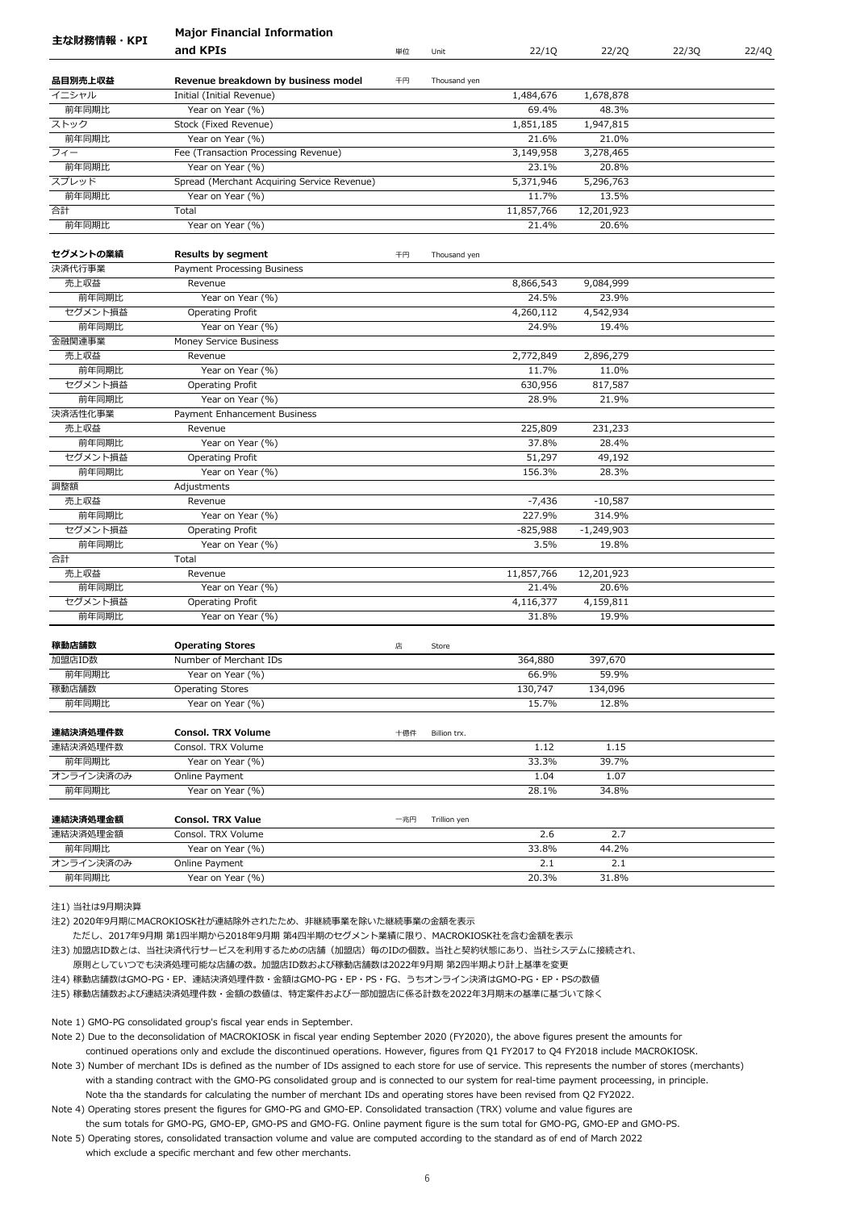|               | <b>Major Financial Information</b>                       |     |              |                     |                    |       |       |
|---------------|----------------------------------------------------------|-----|--------------|---------------------|--------------------|-------|-------|
| 主な財務情報・KPI    | and KPIs                                                 | 単位  | Unit         | 22/1Q               | 22/2Q              | 22/3Q | 22/4Q |
|               |                                                          |     |              |                     |                    |       |       |
| 品目別売上収益       | Revenue breakdown by business model                      | 千円  | Thousand yen |                     |                    |       |       |
| イニシャル         | Initial (Initial Revenue)                                |     |              | 1,484,676           | 1,678,878          |       |       |
| 前年同期比         | Year on Year (%)                                         |     |              | 69.4%<br>1,851,185  | 48.3%              |       |       |
| ストック<br>前年同期比 | Stock (Fixed Revenue)<br>Year on Year (%)                |     |              | 21.6%               | 1,947,815<br>21.0% |       |       |
| フィー           |                                                          |     |              | 3,149,958           | 3,278,465          |       |       |
| 前年同期比         | Fee (Transaction Processing Revenue)<br>Year on Year (%) |     |              | 23.1%               | 20.8%              |       |       |
| スプレッド         | Spread (Merchant Acquiring Service Revenue)              |     |              | 5,371,946           | 5,296,763          |       |       |
| 前年同期比         | Year on Year (%)                                         |     |              | 11.7%               | 13.5%              |       |       |
|               | Total                                                    |     |              |                     |                    |       |       |
| 合計            |                                                          |     |              | 11,857,766<br>21.4% | 12,201,923         |       |       |
| 前年同期比         | Year on Year (%)                                         |     |              |                     | 20.6%              |       |       |
| セグメントの業績      | <b>Results by segment</b>                                | 千円  | Thousand yen |                     |                    |       |       |
| 決済代行事業        | Payment Processing Business                              |     |              |                     |                    |       |       |
| 売上収益          | Revenue                                                  |     |              | 8,866,543           | 9,084,999          |       |       |
| 前年同期比         | Year on Year (%)                                         |     |              | 24.5%               | 23.9%              |       |       |
| セグメント損益       | Operating Profit                                         |     |              | 4,260,112           | 4,542,934          |       |       |
| 前年同期比         | Year on Year (%)                                         |     |              | 24.9%               | 19.4%              |       |       |
| 金融関連事業        | Money Service Business                                   |     |              |                     |                    |       |       |
| 売上収益          | Revenue                                                  |     |              | 2,772,849           | 2,896,279          |       |       |
| 前年同期比         | Year on Year (%)                                         |     |              | 11.7%               | 11.0%              |       |       |
| セグメント損益       | Operating Profit                                         |     |              | 630,956             | 817,587            |       |       |
| 前年同期比         | Year on Year (%)                                         |     |              | 28.9%               | 21.9%              |       |       |
| 決済活性化事業       | Payment Enhancement Business                             |     |              |                     |                    |       |       |
| 売上収益          | Revenue                                                  |     |              | 225,809             | 231,233            |       |       |
| 前年同期比         | Year on Year (%)                                         |     |              | 37.8%               | 28.4%              |       |       |
| セグメント損益       | Operating Profit                                         |     |              | 51,297              | 49,192             |       |       |
| 前年同期比         | Year on Year (%)                                         |     |              | 156.3%              | 28.3%              |       |       |
| 調整額           | Adjustments                                              |     |              |                     |                    |       |       |
| 売上収益          | Revenue                                                  |     |              | $-7,436$            | $-10,587$          |       |       |
| 前年同期比         | Year on Year (%)                                         |     |              | 227.9%              | 314.9%             |       |       |
| セグメント損益       | Operating Profit                                         |     |              | $-825,988$          | $-1,249,903$       |       |       |
| 前年同期比         | Year on Year (%)                                         |     |              | 3.5%                | 19.8%              |       |       |
| 合計            | Total                                                    |     |              |                     |                    |       |       |
| 売上収益          | Revenue                                                  |     |              | 11,857,766          | 12,201,923         |       |       |
| 前年同期比         | Year on Year (%)                                         |     |              | 21.4%               | 20.6%              |       |       |
| セグメント損益       | Operating Profit                                         |     |              | 4,116,377           |                    |       |       |
| 前年同期比         | Year on Year (%)                                         |     |              | 31.8%               | 4,159,811<br>19.9% |       |       |
|               |                                                          |     |              |                     |                    |       |       |
| 稼動店舗数         | <b>Operating Stores</b>                                  | 店   | Store        |                     |                    |       |       |
| 加盟店ID数        | Number of Merchant IDs                                   |     |              | 364,880             | 397,670            |       |       |
| 前年同期比         | Year on Year (%)                                         |     |              | 66.9%               | 59.9%              |       |       |
| 稼動店舗数         | <b>Operating Stores</b>                                  |     |              | 130,747             | 134,096            |       |       |
| 前年同期比         | Year on Year (%)                                         |     |              | 15.7%               | 12.8%              |       |       |
| 連結決済処理件数      | <b>Consol. TRX Volume</b>                                | 十億件 | Billion trx. |                     |                    |       |       |
| 連結決済処理件数      | Consol. TRX Volume                                       |     |              | 1.12                | 1.15               |       |       |
| 前年同期比         | Year on Year (%)                                         |     |              | 33.3%               | 39.7%              |       |       |
| オンライン決済のみ     | Online Payment                                           |     |              | 1.04                | 1.07               |       |       |
| 前年同期比         | Year on Year (%)                                         |     |              | 28.1%               | 34.8%              |       |       |
|               |                                                          |     |              |                     |                    |       |       |
| 連結決済処理金額      | <b>Consol. TRX Value</b>                                 | 一兆円 | Trillion yen |                     |                    |       |       |
| 連結決済処理金額      | Consol. TRX Volume                                       |     |              | 2.6                 | 2.7                |       |       |
| 前年同期比         | Year on Year (%)                                         |     |              | 33.8%               | 44.2%              |       |       |
| オンライン決済のみ     | Online Payment                                           |     |              | 2.1                 | 2.1                |       |       |
| 前年同期比         | Year on Year (%)                                         |     |              | 20.3%               | 31.8%              |       |       |
|               |                                                          |     |              |                     |                    |       |       |

注2) 2020年9月期にMACROKIOSK社が連結除外されたため、非継続事業を除いた継続事業の金額を表示

ただし、2017年9月期 第1四半期から2018年9月期 第4四半期のセグメント業績に限り、MACROKIOSK社を含む金額を表示

注3) 加盟店ID数とは、当社決済代行サービスを利用するための店舗(加盟店)毎のIDの個数。当社と契約状態にあり、当社システムに接続され、

原則としていつでも決済処理可能な店舗の数。加盟店ID数および稼動店舗数は2022年9月期 第2四半期より計上基準を変更

注4) 稼動店舗数はGMO-PG・EP、連結決済処理件数・金額はGMO-PG・EP・PS・FG、うちオンライン決済はGMO-PG・EP・PSの数値

注5) 稼動店舗数および連結決済処理件数・金額の数値は、特定案件および一部加盟店に係る計数を2022年3月期末の基準に基づいて除く

Note 1) GMO-PG consolidated group's fiscal year ends in September.

Note 2) Due to the deconsolidation of MACROKIOSK in fiscal year ending September 2020 (FY2020), the above figures present the amounts for continued operations only and exclude the discontinued operations. However, figures from Q1 FY2017 to Q4 FY2018 include MACROKIOSK.

Note 3) Number of merchant IDs is defined as the number of IDs assigned to each store for use of service. This represents the number of stores (merchants) with a standing contract with the GMO-PG consolidated group and is connected to our system for real-time payment proceessing, in principle. Note tha the standards for calculating the number of merchant IDs and operating stores have been revised from Q2 FY2022.

Note 4) Operating stores present the figures for GMO-PG and GMO-EP. Consolidated transaction (TRX) volume and value figures are the sum totals for GMO-PG, GMO-EP, GMO-PS and GMO-FG. Online payment figure is the sum total for GMO-PG, GMO-EP and GMO-PS.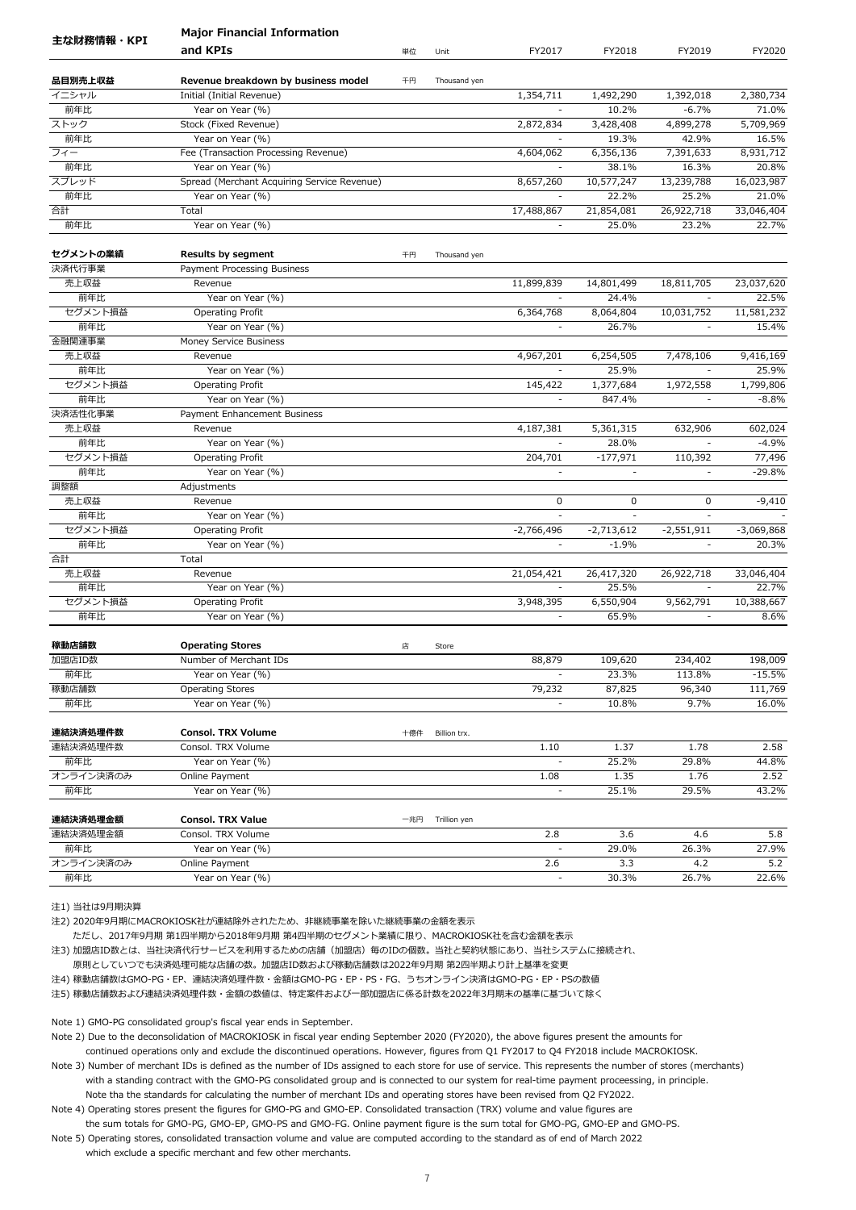|            | <b>Major Financial Information</b>          |     |              |                |              |                          |              |
|------------|---------------------------------------------|-----|--------------|----------------|--------------|--------------------------|--------------|
| 主な財務情報・KPI | and KPIs                                    | 単位  | Unit         | FY2017         | FY2018       | FY2019                   | FY2020       |
| 品目別売上収益    | Revenue breakdown by business model         | 千円  | Thousand yen |                |              |                          |              |
| イニシャル      | Initial (Initial Revenue)                   |     |              | 1,354,711      | 1,492,290    | 1,392,018                | 2,380,734    |
| 前年比        | Year on Year (%)                            |     |              |                | 10.2%        | $-6.7%$                  | 71.0%        |
| ストック       | Stock (Fixed Revenue)                       |     |              | 2,872,834      | 3,428,408    | 4,899,278                | 5,709,969    |
| 前年比        | Year on Year (%)                            |     |              |                | 19.3%        | 42.9%                    | 16.5%        |
| フィー        | Fee (Transaction Processing Revenue)        |     |              | 4,604,062      | 6,356,136    | 7,391,633                | 8,931,712    |
| 前年比        | Year on Year (%)                            |     |              |                | 38.1%        | 16.3%                    | 20.8%        |
| スプレッド      | Spread (Merchant Acquiring Service Revenue) |     |              | 8,657,260      | 10,577,247   | 13,239,788               | 16,023,987   |
| 前年比        | Year on Year (%)                            |     |              |                | 22.2%        | 25.2%                    | 21.0%        |
| 合計         | Total                                       |     |              | 17,488,867     | 21,854,081   | 26,922,718               | 33,046,404   |
| 前年比        | Year on Year (%)                            |     |              |                | 25.0%        | 23.2%                    | 22.7%        |
| セグメントの業績   | <b>Results by segment</b>                   | 千円  | Thousand yen |                |              |                          |              |
| 決済代行事業     | Payment Processing Business                 |     |              |                |              |                          |              |
| 売上収益       | Revenue                                     |     |              | 11,899,839     | 14,801,499   | 18,811,705               | 23,037,620   |
| 前年比        | Year on Year (%)                            |     |              |                | 24.4%        | $\sim$                   | 22.5%        |
| セグメント損益    | Operating Profit                            |     |              | 6,364,768      | 8,064,804    | 10,031,752               | 11,581,232   |
| 前年比        | Year on Year (%)                            |     |              | $\sim$         | 26.7%        | $\blacksquare$           | 15.4%        |
| 金融関連事業     | Money Service Business                      |     |              |                |              |                          |              |
| 売上収益       | Revenue                                     |     |              | 4,967,201      | 6,254,505    | 7,478,106                | 9,416,169    |
| 前年比        | Year on Year (%)                            |     |              | $\omega$       | 25.9%        | $\omega$                 | 25.9%        |
| セグメント損益    | Operating Profit                            |     |              | 145,422        | 1,377,684    | 1,972,558                | 1,799,806    |
| 前年比        | Year on Year (%)                            |     |              |                | 847.4%       |                          | $-8.8%$      |
| 決済活性化事業    | Payment Enhancement Business                |     |              |                |              |                          |              |
| 売上収益       | Revenue                                     |     |              | 4,187,381      | 5,361,315    | 632,906                  | 602,024      |
| 前年比        | Year on Year (%)                            |     |              |                | 28.0%        |                          | $-4.9%$      |
| セグメント損益    | Operating Profit                            |     |              | 204,701        | $-177,971$   | 110,392                  | 77,496       |
| 前年比        | Year on Year (%)                            |     |              | ÷,             | $\omega$     | $\overline{\phantom{a}}$ | $-29.8%$     |
| 調整額        | Adjustments                                 |     |              |                |              |                          |              |
| 売上収益       | Revenue                                     |     |              | 0              | 0            | 0                        | $-9,410$     |
| 前年比        | Year on Year (%)                            |     |              |                |              |                          |              |
| セグメント損益    | Operating Profit                            |     |              | $-2,766,496$   | $-2,713,612$ | $-2,551,911$             | $-3,069,868$ |
| 前年比        | Year on Year (%)                            |     |              |                | $-1.9%$      | $\sim$                   | 20.3%        |
| 合計         | Total                                       |     |              |                |              |                          |              |
| 売上収益       | Revenue                                     |     |              | 21,054,421     | 26,417,320   | 26,922,718               | 33,046,404   |
| 前年比        | Year on Year (%)                            |     |              |                | 25.5%        |                          | 22.7%        |
| セグメント損益    | Operating Profit                            |     |              | 3,948,395      | 6,550,904    | 9,562,791                | 10,388,667   |
| 前年比        | Year on Year (%)                            |     |              |                | 65.9%        |                          | 8.6%         |
|            |                                             |     |              |                |              |                          |              |
| 稼動店舗数      | <b>Operating Stores</b>                     | 店   | Store        |                |              |                          |              |
| 加盟店ID数     | Number of Merchant IDs                      |     |              | 88,879         | 109,620      | 234,402                  | 198,009      |
| 前年比        | Year on Year (%)                            |     |              |                | 23.3%        | 113.8%                   | $-15.5%$     |
| 稼動店舗数      | <b>Operating Stores</b>                     |     |              | 79,232         | 87,825       | 96,340                   | 111,769      |
| 前年比        | Year on Year (%)                            |     |              | $\blacksquare$ | 10.8%        | 9.7%                     | 16.0%        |
| 連結決済処理件数   | <b>Consol. TRX Volume</b>                   | 十億件 | Billion trx. |                |              |                          |              |
| 連結決済処理件数   | Consol. TRX Volume                          |     |              | 1.10           | 1.37         | 1.78                     | 2.58         |
| 前年比        | Year on Year (%)                            |     |              |                | 25.2%        | 29.8%                    | 44.8%        |
| オンライン決済のみ  | Online Payment                              |     |              | 1.08           | 1.35         | 1.76                     | 2.52         |
| 前年比        | Year on Year (%)                            |     |              | $\frac{1}{2}$  | 25.1%        | 29.5%                    | 43.2%        |
| 連結決済処理金額   | <b>Consol. TRX Value</b>                    | 一兆円 | Trillion yen |                |              |                          |              |
| 連結決済処理金額   | Consol. TRX Volume                          |     |              | 2.8            | 3.6          | 4.6                      | 5.8          |
| 前年比        | Year on Year (%)                            |     |              |                | 29.0%        | 26.3%                    | 27.9%        |
| オンライン決済のみ  | Online Payment                              |     |              | 2.6            | 3.3          | 4.2                      | 5.2          |
| 前年比        | Year on Year (%)                            |     |              | $\blacksquare$ | 30.3%        | 26.7%                    | 22.6%        |
|            |                                             |     |              |                |              |                          |              |

注2) 2020年9月期にMACROKIOSK社が連結除外されたため、非継続事業を除いた継続事業の金額を表示

ただし、2017年9月期 第1四半期から2018年9月期 第4四半期のセグメント業績に限り、MACROKIOSK社を含む金額を表示

注3) 加盟店ID数とは、当社決済代行サービスを利用するための店舗(加盟店)毎のIDの個数。当社と契約状態にあり、当社システムに接続され、

原則としていつでも決済処理可能な店舗の数。加盟店ID数および稼動店舗数は2022年9月期 第2四半期より計上基準を変更

注4) 稼動店舗数はGMO-PG・EP、連結決済処理件数・金額はGMO-PG・EP・PS・FG、うちオンライン決済はGMO-PG・EP・PSの数値

注5) 稼動店舗数および連結決済処理件数・金額の数値は、特定案件および一部加盟店に係る計数を2022年3月期末の基準に基づいて除く

Note 1) GMO-PG consolidated group's fiscal year ends in September.

Note 2) Due to the deconsolidation of MACROKIOSK in fiscal year ending September 2020 (FY2020), the above figures present the amounts for continued operations only and exclude the discontinued operations. However, figures from Q1 FY2017 to Q4 FY2018 include MACROKIOSK.

Note 3) Number of merchant IDs is defined as the number of IDs assigned to each store for use of service. This represents the number of stores (merchants) with a standing contract with the GMO-PG consolidated group and is connected to our system for real-time payment proceessing, in principle. Note tha the standards for calculating the number of merchant IDs and operating stores have been revised from Q2 FY2022.

Note 4) Operating stores present the figures for GMO-PG and GMO-EP. Consolidated transaction (TRX) volume and value figures are the sum totals for GMO-PG, GMO-EP, GMO-PS and GMO-FG. Online payment figure is the sum total for GMO-PG, GMO-EP and GMO-PS.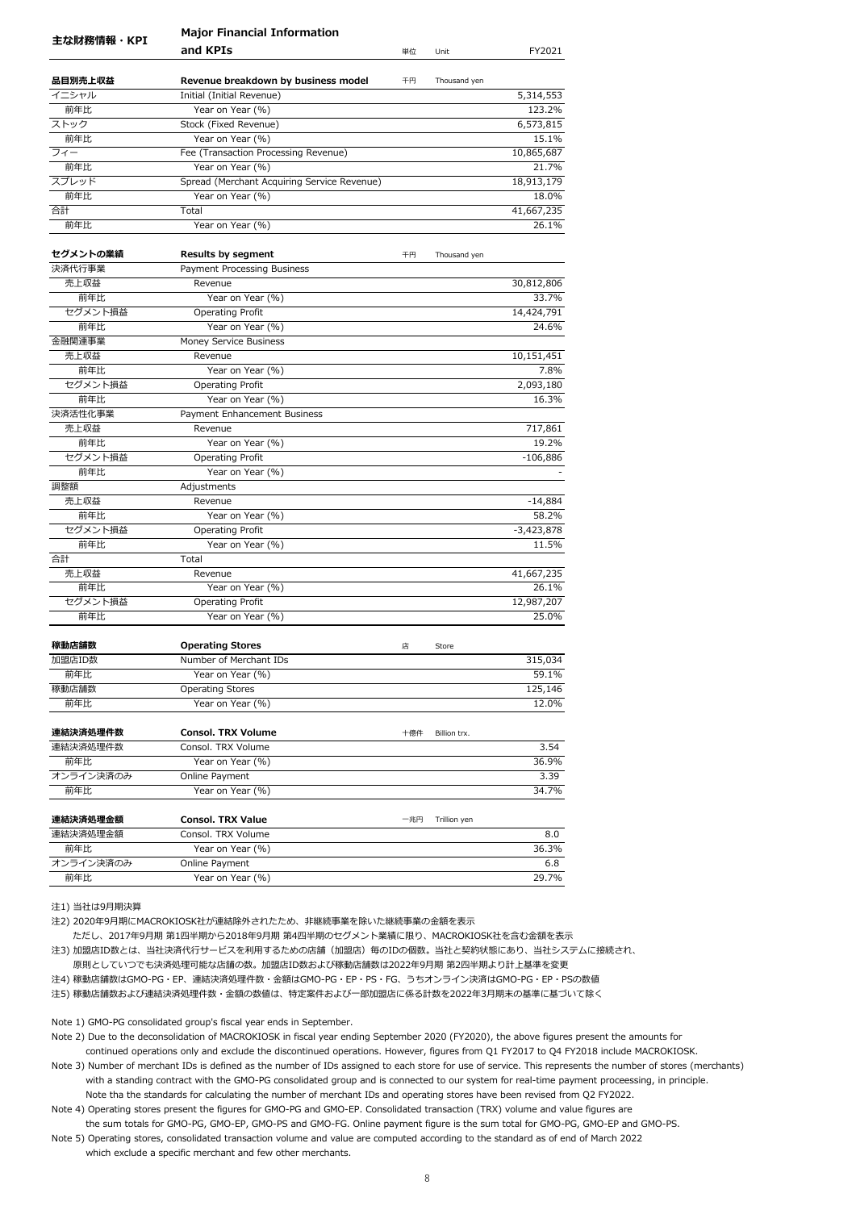|            | <b>Major Financial Information</b>          |     |              |              |
|------------|---------------------------------------------|-----|--------------|--------------|
| 主な財務情報・KPI | and KPIs                                    | 単位  | Unit         | FY2021       |
| 品目別売上収益    | Revenue breakdown by business model         | 千円  | Thousand yen |              |
| イニシャル      | Initial (Initial Revenue)                   |     |              | 5,314,553    |
| 前年比        | Year on Year (%)                            |     |              | 123.2%       |
| ストック       | Stock (Fixed Revenue)                       |     |              | 6,573,815    |
| 前年比        | Year on Year (%)                            |     |              | 15.1%        |
| フィー        | Fee (Transaction Processing Revenue)        |     |              | 10,865,687   |
| 前年比        | Year on Year (%)                            |     |              | 21.7%        |
| スプレッド      | Spread (Merchant Acquiring Service Revenue) |     |              | 18,913,179   |
| 前年比        | Year on Year (%)                            |     |              | 18.0%        |
| 合計         | Total                                       |     |              | 41,667,235   |
| 前年比        | Year on Year (%)                            |     |              | 26.1%        |
| セグメントの業績   | <b>Results by segment</b>                   | 千円  | Thousand yen |              |
| 決済代行事業     | Payment Processing Business                 |     |              |              |
| 売上収益       | Revenue                                     |     |              | 30,812,806   |
| 前年比        | Year on Year (%)                            |     |              | 33.7%        |
| セグメント損益    | Operating Profit                            |     |              | 14,424,791   |
| 前年比        | Year on Year (%)                            |     |              | 24.6%        |
| 金融関連事業     | Money Service Business                      |     |              |              |
| 売上収益       | Revenue                                     |     |              | 10,151,451   |
| 前年比        | Year on Year (%)                            |     |              | 7.8%         |
| セグメント損益    | <b>Operating Profit</b>                     |     |              | 2,093,180    |
| 前年比        | Year on Year (%)                            |     |              | 16.3%        |
| 決済活性化事業    | Payment Enhancement Business                |     |              |              |
| 売上収益       | Revenue                                     |     |              | 717,861      |
| 前年比        | Year on Year (%)                            |     |              | 19.2%        |
| セグメント損益    | <b>Operating Profit</b>                     |     |              | $-106,886$   |
| 前年比        | Year on Year (%)                            |     |              |              |
| 調整額        | Adjustments                                 |     |              |              |
| 売上収益       | Revenue                                     |     |              | $-14,884$    |
| 前年比        | Year on Year (%)                            |     |              | 58.2%        |
| セグメント損益    | <b>Operating Profit</b>                     |     |              | $-3,423,878$ |
| 前年比        | Year on Year (%)                            |     |              | 11.5%        |
| 合計         | Total                                       |     |              |              |
| 売上収益       | Revenue                                     |     |              | 41,667,235   |
| 前年比        | Year on Year (%)                            |     |              | 26.1%        |
| セグメント損益    | Operating Profit                            |     |              | 12,987,207   |
| 前年比        | Year on Year (%)                            |     |              | 25.0%        |
| 稼動店舗数      | <b>Operating Stores</b>                     | 店   | Store        |              |
| 加盟店ID数     | Number of Merchant IDs                      |     |              | 315,034      |
| 前年比        | Year on Year (%)                            |     |              | 59.1%        |
| 稼動店舗数      | <b>Operating Stores</b>                     |     |              | 125,146      |
| 前年比        | Year on Year (%)                            |     |              | 12.0%        |
| 連結決済処理件数   | <b>Consol. TRX Volume</b>                   | 十億件 | Billion trx. |              |
| 連結決済処理件数   | Consol. TRX Volume                          |     |              | 3.54         |
| 前年比        | Year on Year (%)                            |     |              | 36.9%        |
| オンライン決済のみ  | Online Payment                              |     |              | 3.39         |
| 前年比        | Year on Year (%)                            |     |              | 34.7%        |
| 連結決済処理金額   | <b>Consol. TRX Value</b>                    | 一兆円 | Trillion yen |              |
| 連結決済処理金額   | Consol. TRX Volume                          |     |              | 8.0          |
| 前年比        | Year on Year (%)                            |     |              | 36.3%        |
| オンライン決済のみ  | Online Payment                              |     |              | 6.8          |
| 前年比        | Year on Year (%)                            |     |              | 29.7%        |

注2) 2020年9月期にMACROKIOSK社が連結除外されたため、非継続事業を除いた継続事業の金額を表示

ただし、2017年9月期 第1四半期から2018年9月期 第4四半期のセグメント業績に限り、MACROKIOSK社を含む金額を表示

注3) 加盟店ID数とは、当社決済代行サービスを利用するための店舗(加盟店)毎のIDの個数。当社と契約状態にあり、当社システムに接続され、

原則としていつでも決済処理可能な店舗の数。加盟店ID数および稼動店舗数は2022年9月期 第2四半期より計上基準を変更

注4) 稼動店舗数はGMO-PG・EP、連結決済処理件数・金額はGMO-PG・EP・PS・FG、うちオンライン決済はGMO-PG・EP・PSの数値

注5) 稼動店舗数および連結決済処理件数・金額の数値は、特定案件および一部加盟店に係る計数を2022年3月期末の基準に基づいて除く

Note 1) GMO-PG consolidated group's fiscal year ends in September.

Note 2) Due to the deconsolidation of MACROKIOSK in fiscal year ending September 2020 (FY2020), the above figures present the amounts for continued operations only and exclude the discontinued operations. However, figures from Q1 FY2017 to Q4 FY2018 include MACROKIOSK.

Note 3) Number of merchant IDs is defined as the number of IDs assigned to each store for use of service. This represents the number of stores (merchants) with a standing contract with the GMO-PG consolidated group and is connected to our system for real-time payment proceessing, in principle. Note tha the standards for calculating the number of merchant IDs and operating stores have been revised from Q2 FY2022.

Note 4) Operating stores present the figures for GMO-PG and GMO-EP. Consolidated transaction (TRX) volume and value figures are the sum totals for GMO-PG, GMO-EP, GMO-PS and GMO-FG. Online payment figure is the sum total for GMO-PG, GMO-EP and GMO-PS.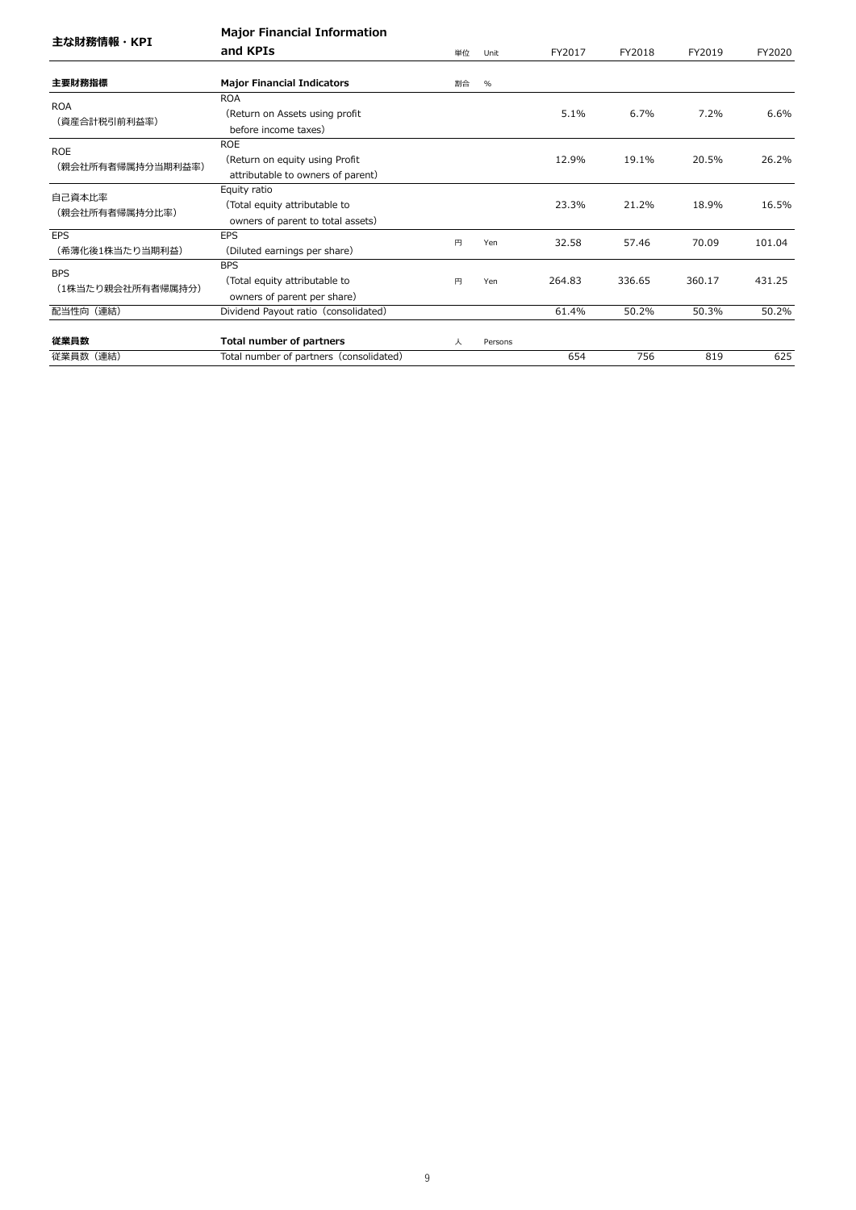| 主な財務情報・KPI        | <b>Major Financial Information</b>      |    |         |        |        |        |        |
|-------------------|-----------------------------------------|----|---------|--------|--------|--------|--------|
|                   | and KPIs                                | 単位 | Unit    | FY2017 | FY2018 | FY2019 | FY2020 |
|                   |                                         |    |         |        |        |        |        |
| 主要財務指標            | <b>Major Financial Indicators</b>       | 割合 | $\%$    |        |        |        |        |
| <b>ROA</b>        | <b>ROA</b>                              |    |         |        |        |        |        |
| (資産合計税引前利益率)      | (Return on Assets using profit)         |    |         | 5.1%   | 6.7%   | 7.2%   | 6.6%   |
|                   | before income taxes)                    |    |         |        |        |        |        |
| <b>ROE</b>        | <b>ROE</b>                              |    |         |        |        |        |        |
|                   | (Return on equity using Profit          |    |         | 12.9%  | 19.1%  | 20.5%  | 26.2%  |
| (親会社所有者帰属持分当期利益率) | attributable to owners of parent)       |    |         |        |        |        |        |
| 自己資本比率            | Equity ratio                            |    |         |        |        |        |        |
|                   | (Total equity attributable to           |    |         | 23.3%  | 21.2%  | 18.9%  | 16.5%  |
| (親会社所有者帰属持分比率)    | owners of parent to total assets)       |    |         |        |        |        |        |
| <b>EPS</b>        | <b>EPS</b>                              | 円  | Yen     | 32.58  | 57.46  | 70.09  | 101.04 |
| (希薄化後1株当たり当期利益)   | (Diluted earnings per share)            |    |         |        |        |        |        |
|                   | <b>BPS</b>                              |    |         |        |        |        |        |
| <b>BPS</b>        | (Total equity attributable to           | 円  | Yen     | 264.83 | 336.65 | 360.17 | 431.25 |
| (1株当たり親会社所有者帰属持分) | owners of parent per share)             |    |         |        |        |        |        |
| 配当性向 (連結)         | Dividend Payout ratio (consolidated)    |    |         | 61.4%  | 50.2%  | 50.3%  | 50.2%  |
| 従業員数              | <b>Total number of partners</b>         | 人  | Persons |        |        |        |        |
| 従業員数 (連結)         | Total number of partners (consolidated) |    |         | 654    | 756    | 819    | 625    |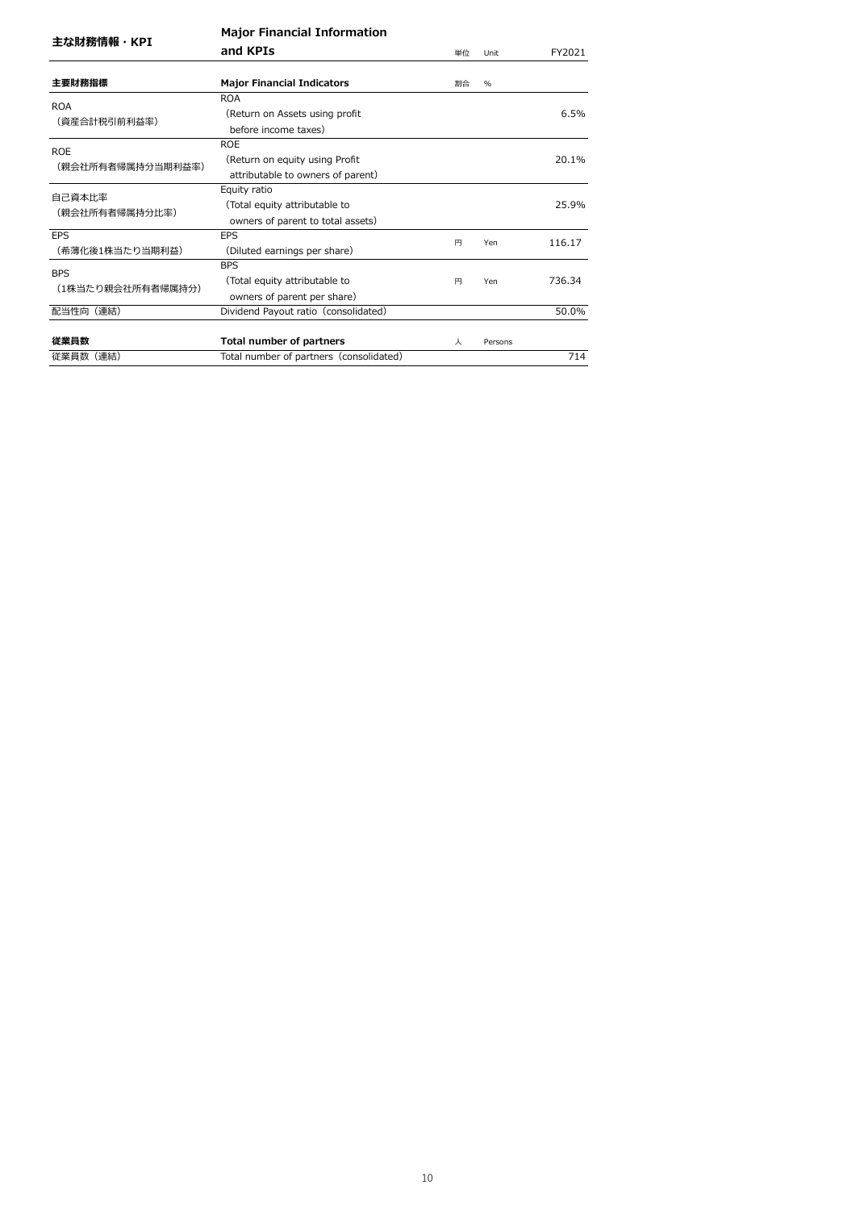| 主な財務情報・KPI                      |                                                                                    |    |         |        |
|---------------------------------|------------------------------------------------------------------------------------|----|---------|--------|
|                                 | and KPIs                                                                           | 単位 | Unit    | FY2021 |
| 主要財務指標                          | <b>Major Financial Indicators</b>                                                  | 割合 | $\%$    |        |
| <b>ROA</b><br>(資産合計税引前利益率)      | <b>ROA</b><br>(Return on Assets using profit<br>before income taxes)               |    |         | 6.5%   |
| <b>ROE</b><br>(親会社所有者帰属持分当期利益率) | <b>ROE</b><br>(Return on equity using Profit<br>attributable to owners of parent)  |    |         | 20.1%  |
| 自己資本比率<br>(親会社所有者帰属持分比率)        | Equity ratio<br>(Total equity attributable to<br>owners of parent to total assets) |    |         | 25.9%  |
| <b>EPS</b><br>(希薄化後1株当たり当期利益)   | EPS<br>(Diluted earnings per share)                                                | 円  | Yen     | 116.17 |
| <b>BPS</b><br>(1株当たり親会社所有者帰属持分) | <b>BPS</b><br>(Total equity attributable to<br>owners of parent per share)         | 円  | Yen     | 736.34 |
| 配当性向(連結)                        | Dividend Payout ratio (consolidated)                                               |    |         | 50.0%  |
| 従業員数                            | Total number of partners                                                           | 人  | Persons |        |
| 従業員数(連結)                        | Total number of partners (consolidated)                                            |    |         | 714    |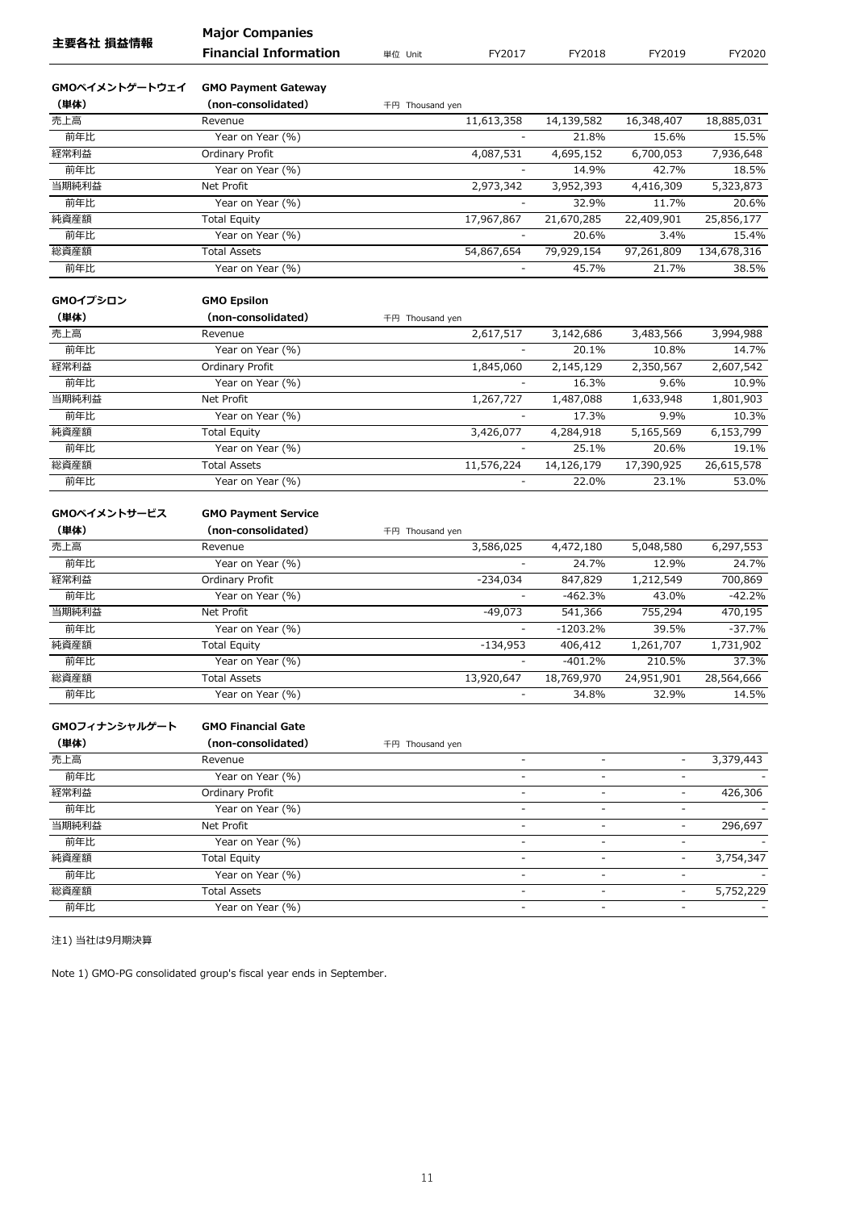|                        | <b>Major Companies</b>                           |                 |                          |                              |                          |             |
|------------------------|--------------------------------------------------|-----------------|--------------------------|------------------------------|--------------------------|-------------|
| 主要各社 損益情報              | <b>Financial Information</b>                     | 単位 Unit         | FY2017                   | FY2018                       | FY2019                   | FY2020      |
|                        |                                                  |                 |                          |                              |                          |             |
| GMOペイメントゲートウェイ<br>(単体) | <b>GMO Payment Gateway</b><br>(non-consolidated) |                 |                          |                              |                          |             |
| 売上高                    | Revenue                                          | 千円 Thousand yen | 11,613,358               | 14,139,582                   | 16,348,407               | 18,885,031  |
| 前年比                    | Year on Year (%)                                 |                 |                          | 21.8%                        | 15.6%                    | 15.5%       |
| 経常利益                   | Ordinary Profit                                  |                 | 4,087,531                | 4,695,152                    | 6,700,053                | 7,936,648   |
| 前年比                    | Year on Year (%)                                 |                 |                          | 14.9%                        | 42.7%                    | 18.5%       |
| 当期純利益                  | Net Profit                                       |                 | 2,973,342                | 3,952,393                    | 4,416,309                | 5,323,873   |
| 前年比                    | Year on Year (%)                                 |                 |                          | 32.9%                        | 11.7%                    | 20.6%       |
| 純資産額                   | <b>Total Equity</b>                              |                 | 17,967,867               | 21,670,285                   | 22,409,901               | 25,856,177  |
| 前年比                    | Year on Year (%)                                 |                 |                          | 20.6%                        | 3.4%                     | 15.4%       |
| 総資産額                   | <b>Total Assets</b>                              |                 | 54,867,654               | 79,929,154                   | 97,261,809               | 134,678,316 |
| 前年比                    | Year on Year (%)                                 |                 |                          | 45.7%                        | 21.7%                    | 38.5%       |
|                        |                                                  |                 |                          |                              |                          |             |
| GMOイプシロン               | <b>GMO Epsilon</b>                               |                 |                          |                              |                          |             |
| (単体)                   | (non-consolidated)                               | 千円 Thousand yen |                          |                              |                          |             |
| 売上高                    | Revenue                                          |                 | 2,617,517                | 3,142,686                    | 3,483,566                | 3,994,988   |
| 前年比                    | Year on Year (%)                                 |                 | $\overline{\phantom{a}}$ | 20.1%                        | 10.8%                    | 14.7%       |
| 経常利益                   | Ordinary Profit                                  |                 | 1,845,060                | 2,145,129                    | 2,350,567                | 2,607,542   |
| 前年比                    | Year on Year (%)                                 |                 | $\overline{\phantom{a}}$ | 16.3%                        | 9.6%                     | 10.9%       |
| 当期純利益                  | Net Profit                                       |                 | 1,267,727                | 1,487,088                    | 1,633,948                | 1,801,903   |
| 前年比                    | Year on Year (%)                                 |                 |                          | 17.3%                        | 9.9%                     | 10.3%       |
| 純資産額                   | <b>Total Equity</b>                              |                 | 3,426,077                | 4,284,918                    | 5,165,569                | 6,153,799   |
| 前年比                    | Year on Year (%)                                 |                 |                          | 25.1%                        | 20.6%                    | 19.1%       |
| 総資産額                   | <b>Total Assets</b>                              |                 | 11,576,224               | 14,126,179                   | 17,390,925               | 26,615,578  |
| 前年比                    | Year on Year (%)                                 |                 | $\overline{\phantom{a}}$ | 22.0%                        | 23.1%                    | 53.0%       |
| GMOペイメントサービス           |                                                  |                 |                          |                              |                          |             |
| (単体)                   | <b>GMO Payment Service</b><br>(non-consolidated) |                 |                          |                              |                          |             |
| 売上高                    | Revenue                                          | 千円 Thousand yen | 3,586,025                | 4,472,180                    | 5,048,580                | 6,297,553   |
| 前年比                    | Year on Year (%)                                 |                 |                          | 24.7%                        | 12.9%                    | 24.7%       |
| 経常利益                   | Ordinary Profit                                  |                 | $-234,034$               | 847,829                      | 1,212,549                | 700,869     |
| 前年比                    | Year on Year (%)                                 |                 |                          | $-462.3%$                    | 43.0%                    | $-42.2%$    |
| 当期純利益                  | Net Profit                                       |                 | $-49,073$                | 541,366                      | 755,294                  | 470,195     |
| 前年比                    | Year on Year (%)                                 |                 |                          | $-1203.2%$                   | 39.5%                    | $-37.7%$    |
| 純資産額                   | <b>Total Equity</b>                              |                 | $-134,953$               | 406,412                      | 1,261,707                | 1,731,902   |
| 前年比                    |                                                  |                 |                          | $-401.2%$                    | 210.5%                   | 37.3%       |
| 総資産額                   | Year on Year (%)<br><b>Total Assets</b>          |                 | 13,920,647               | 18,769,970                   | 24,951,901               | 28,564,666  |
| 前年比                    | Year on Year (%)                                 |                 |                          | 34.8%                        | 32.9%                    | 14.5%       |
|                        |                                                  |                 |                          |                              |                          |             |
| GMOフィナンシャルゲート          | <b>GMO Financial Gate</b>                        |                 |                          |                              |                          |             |
| (単体)                   | (non-consolidated)                               | 千円 Thousand yen |                          |                              |                          |             |
| 売上高                    | Revenue                                          |                 | $\overline{\phantom{a}}$ | ä,                           | ÷.                       | 3,379,443   |
| 前年比                    | Year on Year (%)                                 |                 |                          |                              |                          |             |
| 経常利益                   | Ordinary Profit                                  |                 |                          |                              |                          | 426,306     |
| 前年比                    | Year on Year (%)                                 |                 | ٠                        | ä,                           | $\overline{\phantom{a}}$ |             |
| 当期純利益                  | Net Profit                                       |                 | $\overline{\phantom{0}}$ | $\qquad \qquad \blacksquare$ | $\overline{\phantom{a}}$ | 296,697     |
| 前年比                    | Year on Year (%)                                 |                 | $\overline{a}$           | ÷                            | -                        |             |
| 純資産額                   | <b>Total Equity</b>                              |                 | $\overline{\phantom{a}}$ | $\overline{\phantom{a}}$     | $\overline{\phantom{0}}$ | 3,754,347   |
| 前年比                    | Year on Year (%)                                 |                 |                          | $\overline{a}$               | $\overline{a}$           |             |
| 総資産額                   | <b>Total Assets</b>                              |                 | ٠                        | $\overline{a}$               | $\overline{\phantom{0}}$ | 5,752,229   |
| 前年比                    | Year on Year (%)                                 |                 | $\overline{\phantom{a}}$ | $\qquad \qquad \blacksquare$ | $\overline{\phantom{a}}$ |             |
|                        |                                                  |                 |                          |                              |                          |             |

Note 1) GMO-PG consolidated group's fiscal year ends in September.